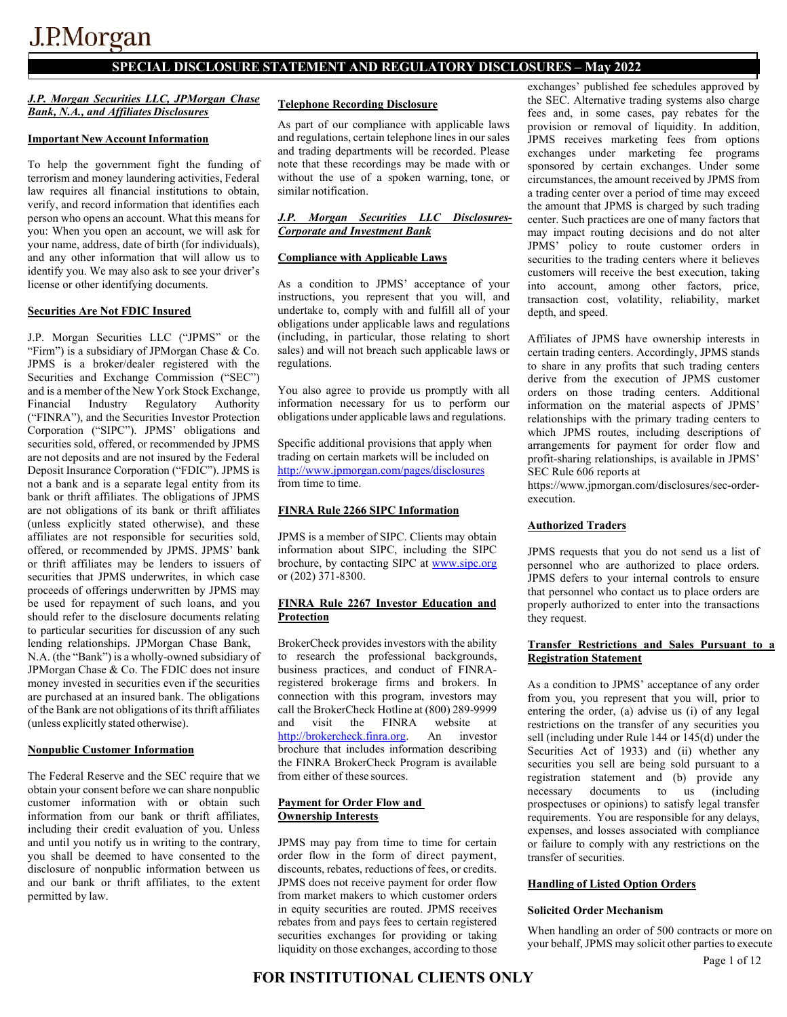### **SPECIAL DISCLOSURE STATEMENT AND REGULATORY DISCLOSURES – May 2022**

#### *J.P. Morgan Securities LLC, JPMorgan Chase Bank, N.A., and Affiliates Disclosures*

#### **Important New Account Information**

To help the government fight the funding of terrorism and money laundering activities, Federal law requires all financial institutions to obtain, verify, and record information that identifies each person who opens an account. What this means for you: When you open an account, we will ask for your name, address, date of birth (for individuals), and any other information that will allow us to identify you. We may also ask to see your driver's license or other identifying documents.

#### **Securities Are Not FDIC Insured**

J.P. Morgan Securities LLC ("JPMS" or the "Firm") is a subsidiary of JPMorgan Chase & Co. JPMS is a broker/dealer registered with the Securities and Exchange Commission ("SEC") and is a member of the New York Stock Exchange, Financial Industry Regulatory Authority ("FINRA"), and the Securities Investor Protection Corporation ("SIPC"). JPMS' obligations and securities sold, offered, or recommended by JPMS are not deposits and are not insured by the Federal Deposit Insurance Corporation ("FDIC"). JPMS is not a bank and is a separate legal entity from its bank or thrift affiliates. The obligations of JPMS are not obligations of its bank or thrift affiliates (unless explicitly stated otherwise), and these affiliates are not responsible for securities sold, offered, or recommended by JPMS. JPMS' bank or thrift affiliates may be lenders to issuers of securities that JPMS underwrites, in which case proceeds of offerings underwritten by JPMS may be used for repayment of such loans, and you should refer to the disclosure documents relating to particular securities for discussion of any such lending relationships. JPMorgan Chase Bank, N.A. (the "Bank") is a wholly-owned subsidiary of JPMorgan Chase & Co. The FDIC does not insure money invested in securities even if the securities are purchased at an insured bank. The obligations of the Bank are not obligations of its thrift affiliates (unless explicitly stated otherwise).

#### **Nonpublic Customer Information**

The Federal Reserve and the SEC require that we obtain your consent before we can share nonpublic customer information with or obtain such information from our bank or thrift affiliates, including their credit evaluation of you. Unless and until you notify us in writing to the contrary, you shall be deemed to have consented to the disclosure of nonpublic information between us and our bank or thrift affiliates, to the extent permitted by law.

#### **Telephone Recording Disclosure**

As part of our compliance with applicable laws and regulations, certain telephone lines in our sales and trading departments will be recorded. Please note that these recordings may be made with or without the use of a spoken warning, tone, or similar notification.

#### *J.P. Morgan Securities LLC Disclosures-Corporate and Investment Bank*

#### **Compliance with Applicable Laws**

As a condition to JPMS' acceptance of your instructions, you represent that you will, and undertake to, comply with and fulfill all of your obligations under applicable laws and regulations (including, in particular, those relating to short sales) and will not breach such applicable laws or regulations.

You also agree to provide us promptly with all information necessary for us to perform our obligations under applicable laws and regulations.

Specific additional provisions that apply when trading on certain markets will be included on <http://www.jpmorgan.com/pages/disclosures> from time to time.

#### **FINRA Rule 2266 SIPC Information**

JPMS is a member of SIPC. Clients may obtain information about SIPC, including the SIPC brochure, by contacting SIPC at www.sipc.org or (202) 371-8300.

#### **FINRA Rule 2267 Investor Education and Protection**

BrokerCheck provides investors with the ability to research the professional backgrounds, business practices, and conduct of FINRAregistered brokerage firms and brokers. In connection with this program, investors may call the BrokerCheck Hotline at (800) 289-9999 and visit the FINRA website at [http://brokercheck.finra.org.](http://brokercheck.finra.org/Search/Search) An investor brochure that includes information describing the FINRA BrokerCheck Program is available from either of these sources.

#### **Payment for Order Flow and Ownership Interests**

JPMS may pay from time to time for certain order flow in the form of direct payment, discounts, rebates, reductions of fees, or credits. JPMS does not receive payment for order flow from market makers to which customer orders in equity securities are routed. JPMS receives rebates from and pays fees to certain registered securities exchanges for providing or taking liquidity on those exchanges, according to those

exchanges' published fee schedules approved by the SEC. Alternative trading systems also charge fees and, in some cases, pay rebates for the provision or removal of liquidity. In addition, JPMS receives marketing fees from options exchanges under marketing fee programs sponsored by certain exchanges. Under some circumstances, the amount received by JPMS from a trading center over a period of time may exceed the amount that JPMS is charged by such trading center. Such practices are one of many factors that may impact routing decisions and do not alter JPMS' policy to route customer orders in securities to the trading centers where it believes customers will receive the best execution, taking into account, among other factors, price, transaction cost, volatility, reliability, market depth, and speed.

Affiliates of JPMS have ownership interests in certain trading centers. Accordingly, JPMS stands to share in any profits that such trading centers derive from the execution of JPMS customer orders on those trading centers. Additional information on the material aspects of JPMS' relationships with the primary trading centers to which JPMS routes, including descriptions of arrangements for payment for order flow and profit-sharing relationships, is available in JPMS' SEC Rule 606 reports at

https://www.jpmorgan.com/disclosures/sec-orderexecution.

#### **Authorized Traders**

JPMS requests that you do not send us a list of personnel who are authorized to place orders. JPMS defers to your internal controls to ensure that personnel who contact us to place orders are properly authorized to enter into the transactions they request.

#### **Transfer Restrictions and Sales Pursuant to a Registration Statement**

As a condition to JPMS' acceptance of any order from you, you represent that you will, prior to entering the order, (a) advise us (i) of any legal restrictions on the transfer of any securities you sell (including under Rule 144 or 145(d) under the Securities Act of 1933) and (ii) whether any securities you sell are being sold pursuant to a registration statement and (b) provide any necessary documents to us (including prospectuses or opinions) to satisfy legal transfer requirements. You are responsible for any delays, expenses, and losses associated with compliance or failure to comply with any restrictions on the transfer of securities.

#### **Handling of Listed Option Orders**

#### **Solicited Order Mechanism**

When handling an order of 500 contracts or more on your behalf, JPMS may solicit other parties to execute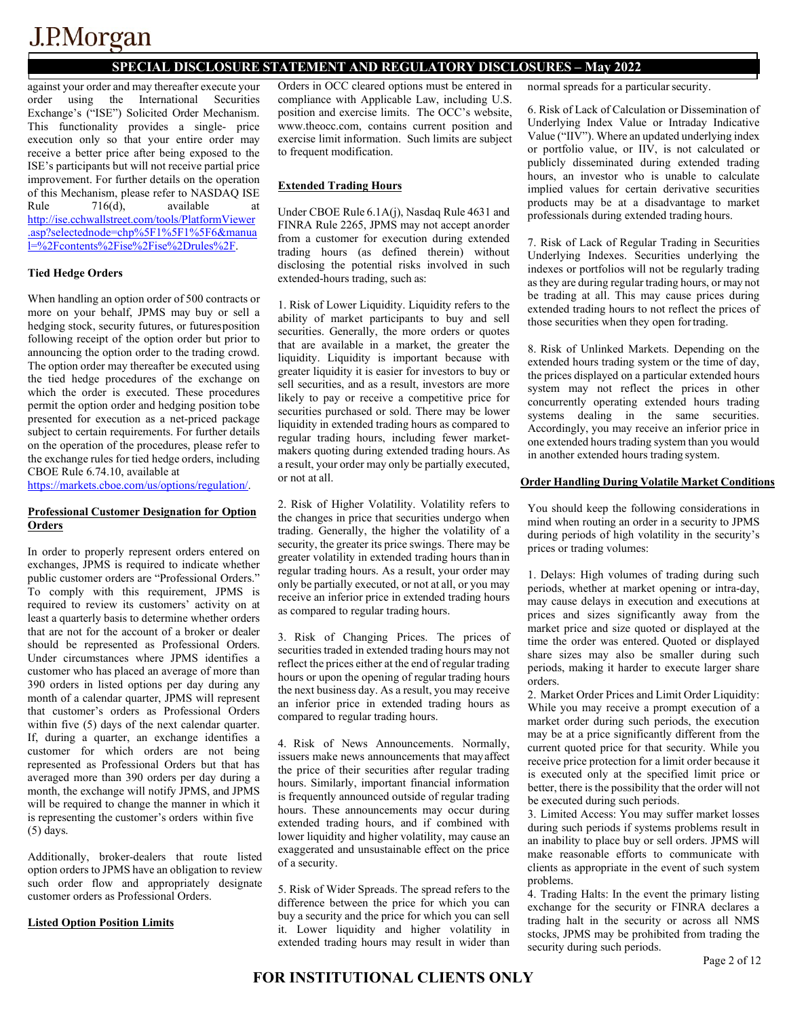## **SPECIAL DISCLOSURE STATEMENT AND REGULATORY DISCLOSURES – May 2022**

against your order and may thereafter execute your order using the International Securities Exchange's ("ISE") Solicited Order Mechanism. This functionality provides a single- price execution only so that your entire order may receive a better price after being exposed to the ISE's participants but will not receive partial price improvement. For further details on the operation of this Mechanism, please refer to NASDAQ ISE<br>Rule 716(d), available at Rule  $716(d)$ , available <http://ise.cchwallstreet.com/tools/PlatformViewer> [.asp?selectednode=chp%5F1%5F1%5F6&manua](http://ise.cchwallstreet.com/tools/PlatformViewer.asp?selectednode=chp%5F1%5F1%5F6&%3Bmanual=%2Fcontents%2Fise%2Fise%2Drules%2F) [l=%2Fcontents%2Fise%2Fise%2Drules%2F.](http://ise.cchwallstreet.com/tools/PlatformViewer.asp?selectednode=chp%5F1%5F1%5F6&%3Bmanual=%2Fcontents%2Fise%2Fise%2Drules%2F)

#### **Tied Hedge Orders**

When handling an option order of 500 contracts or more on your behalf, JPMS may buy or sell a hedging stock, security futures, or futuresposition following receipt of the option order but prior to announcing the option order to the trading crowd. The option order may thereafter be executed using the tied hedge procedures of the exchange on which the order is executed. These procedures permit the option order and hedging position tobe presented for execution as a net-priced package subject to certain requirements. For further details on the operation of the procedures, please refer to the exchange rules for tied hedge orders, including CBOE Rule 6.74.10, available at

[https://markets.cboe.com/us/options/regulation/.](https://markets.cboe.com/us/options/regulation/)

#### **Professional Customer Designation for Option Orders**

In order to properly represent orders entered on exchanges, JPMS is required to indicate whether public customer orders are "Professional Orders." To comply with this requirement, JPMS is required to review its customers' activity on at least a quarterly basis to determine whether orders that are not for the account of a broker or dealer should be represented as Professional Orders. Under circumstances where JPMS identifies a customer who has placed an average of more than 390 orders in listed options per day during any month of a calendar quarter, JPMS will represent that customer's orders as Professional Orders within five (5) days of the next calendar quarter. If, during a quarter, an exchange identifies a customer for which orders are not being represented as Professional Orders but that has averaged more than 390 orders per day during a month, the exchange will notify JPMS, and JPMS will be required to change the manner in which it is representing the customer's orders within five (5) days.

Additionally, broker-dealers that route listed option orders to JPMS have an obligation to review such order flow and appropriately designate customer orders as Professional Orders.

#### **Listed Option Position Limits**

Orders in OCC cleared options must be entered in compliance with Applicable Law, including U.S. position and exercise limits. The OCC's website, [www.theocc.com,](http://www.theocc.com/) contains current position and exercise limit information. Such limits are subject to frequent modification.

#### **Extended Trading Hours**

Under CBOE Rule 6.1A(j), Nasdaq Rule 4631 and FINRA Rule 2265, JPMS may not accept anorder from a customer for execution during extended trading hours (as defined therein) without disclosing the potential risks involved in such extended-hours trading, such as:

1. Risk of Lower Liquidity. Liquidity refers to the ability of market participants to buy and sell securities. Generally, the more orders or quotes that are available in a market, the greater the liquidity. Liquidity is important because with greater liquidity it is easier for investors to buy or sell securities, and as a result, investors are more likely to pay or receive a competitive price for securities purchased or sold. There may be lower liquidity in extended trading hours as compared to regular trading hours, including fewer marketmakers quoting during extended trading hours.As a result, your order may only be partially executed, or not at all.

2. Risk of Higher Volatility. Volatility refers to the changes in price that securities undergo when trading. Generally, the higher the volatility of a security, the greater its price swings. There may be greater volatility in extended trading hours thanin regular trading hours. As a result, your order may only be partially executed, or not at all, or you may receive an inferior price in extended trading hours as compared to regular trading hours.

3. Risk of Changing Prices. The prices of securities traded in extended trading hours may not reflect the prices either at the end of regular trading hours or upon the opening of regular trading hours the next business day. As a result, you may receive an inferior price in extended trading hours as compared to regular trading hours.

4. Risk of News Announcements. Normally, issuers make news announcements that mayaffect the price of their securities after regular trading hours. Similarly, important financial information is frequently announced outside of regular trading hours. These announcements may occur during extended trading hours, and if combined with lower liquidity and higher volatility, may cause an exaggerated and unsustainable effect on the price of a security.

5. Risk of Wider Spreads. The spread refers to the difference between the price for which you can buy a security and the price for which you can sell it. Lower liquidity and higher volatility in extended trading hours may result in wider than

normal spreads for a particular security.

6. Risk of Lack of Calculation or Dissemination of Underlying Index Value or Intraday Indicative Value ("IIV"). Where an updated underlying index or portfolio value, or IIV, is not calculated or publicly disseminated during extended trading hours, an investor who is unable to calculate implied values for certain derivative securities products may be at a disadvantage to market professionals during extended trading hours.

7. Risk of Lack of Regular Trading in Securities Underlying Indexes. Securities underlying the indexes or portfolios will not be regularly trading as they are during regular trading hours, or may not be trading at all. This may cause prices during extended trading hours to not reflect the prices of those securities when they open fortrading.

8. Risk of Unlinked Markets. Depending on the extended hours trading system or the time of day, the prices displayed on a particular extended hours system may not reflect the prices in other concurrently operating extended hours trading systems dealing in the same securities. Accordingly, you may receive an inferior price in one extended hours trading system than you would in another extended hours trading system.

#### **Order Handling During Volatile Market Conditions**

You should keep the following considerations in mind when routing an order in a security to JPMS during periods of high volatility in the security's prices or trading volumes:

1. Delays: High volumes of trading during such periods, whether at market opening or intra-day, may cause delays in execution and executions at prices and sizes significantly away from the market price and size quoted or displayed at the time the order was entered. Quoted or displayed share sizes may also be smaller during such periods, making it harder to execute larger share orders.

2. Market Order Prices and Limit Order Liquidity: While you may receive a prompt execution of a market order during such periods, the execution may be at a price significantly different from the current quoted price for that security. While you receive price protection for a limit order because it is executed only at the specified limit price or better, there is the possibility that the order will not be executed during such periods.

3. Limited Access: You may suffer market losses during such periods if systems problems result in an inability to place buy or sell orders. JPMS will make reasonable efforts to communicate with clients as appropriate in the event of such system problems.

4. Trading Halts: In the event the primary listing exchange for the security or FINRA declares a trading halt in the security or across all NMS stocks, JPMS may be prohibited from trading the security during such periods.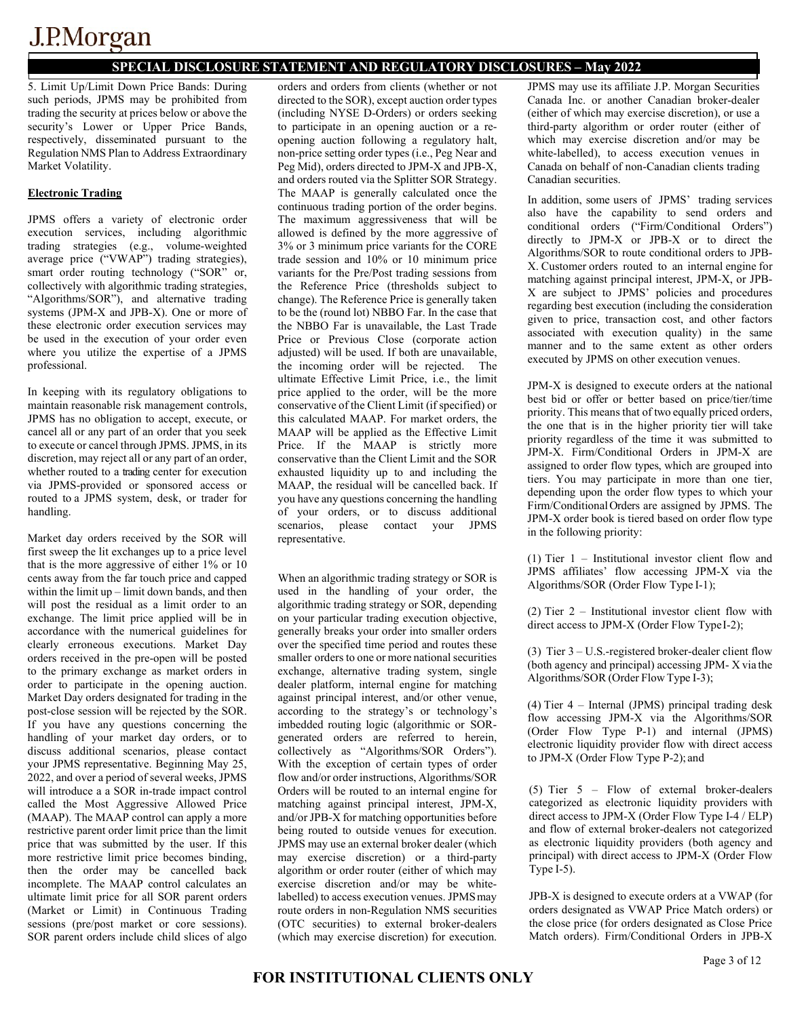## **SPECIAL DISCLOSURE STATEMENT AND REGULATORY DISCLOSURES – May 2022**

5. Limit Up/Limit Down Price Bands: During such periods, JPMS may be prohibited from trading the security at prices below or above the security's Lower or Upper Price Bands, respectively, disseminated pursuant to the Regulation NMS Plan to Address Extraordinary Market Volatility.

### **Electronic Trading**

JPMS offers a variety of electronic order execution services, including algorithmic trading strategies (e.g., volume-weighted average price ("VWAP") trading strategies), smart order routing technology ("SOR" or, collectively with algorithmic trading strategies, "Algorithms/SOR"), and alternative trading systems (JPM-X and JPB-X). One or more of these electronic order execution services may be used in the execution of your order even where you utilize the expertise of a JPMS professional.

In keeping with its regulatory obligations to maintain reasonable risk management controls, JPMS has no obligation to accept, execute, or cancel all or any part of an order that you seek to execute or cancel through JPMS. JPMS, in its discretion, may reject all or any part of an order, whether routed to a trading center for execution via JPMS-provided or sponsored access or routed to a JPMS system, desk, or trader for handling.

Market day orders received by the SOR will first sweep the lit exchanges up to a price level that is the more aggressive of either 1% or 10 cents away from the far touch price and capped within the limit up – limit down bands, and then will post the residual as a limit order to an exchange. The limit price applied will be in accordance with the numerical guidelines for clearly erroneous executions. Market Day orders received in the pre-open will be posted to the primary exchange as market orders in order to participate in the opening auction. Market Day orders designated for trading in the post-close session will be rejected by the SOR. If you have any questions concerning the handling of your market day orders, or to discuss additional scenarios, please contact your JPMS representative. Beginning May 25, 2022, and over a period of several weeks, JPMS will introduce a a SOR in-trade impact control called the Most Aggressive Allowed Price (MAAP). The MAAP control can apply a more restrictive parent order limit price than the limit price that was submitted by the user. If this more restrictive limit price becomes binding, then the order may be cancelled back incomplete. The MAAP control calculates an ultimate limit price for all SOR parent orders (Market or Limit) in Continuous Trading sessions (pre/post market or core sessions). SOR parent orders include child slices of algo

orders and orders from clients (whether or not directed to the SOR), except auction order types (including NYSE D-Orders) or orders seeking to participate in an opening auction or a reopening auction following a regulatory halt, non-price setting order types (i.e., Peg Near and Peg Mid), orders directed to JPM-X and JPB-X, and orders routed via the Splitter SOR Strategy. The MAAP is generally calculated once the continuous trading portion of the order begins. The maximum aggressiveness that will be allowed is defined by the more aggressive of 3% or 3 minimum price variants for the CORE trade session and 10% or 10 minimum price variants for the Pre/Post trading sessions from the Reference Price (thresholds subject to change). The Reference Price is generally taken to be the (round lot) NBBO Far. In the case that the NBBO Far is unavailable, the Last Trade Price or Previous Close (corporate action adjusted) will be used. If both are unavailable, the incoming order will be rejected. The ultimate Effective Limit Price, i.e., the limit price applied to the order, will be the more conservative of the Client Limit (if specified) or this calculated MAAP. For market orders, the MAAP will be applied as the Effective Limit Price. If the MAAP is strictly more conservative than the Client Limit and the SOR exhausted liquidity up to and including the MAAP, the residual will be cancelled back. If you have any questions concerning the handling of your orders, or to discuss additional scenarios, please contact your JPMS representative.

When an algorithmic trading strategy or SOR is used in the handling of your order, the algorithmic trading strategy or SOR, depending on your particular trading execution objective, generally breaks your order into smaller orders over the specified time period and routes these smaller orders to one or more national securities exchange, alternative trading system, single dealer platform, internal engine for matching against principal interest, and/or other venue, according to the strategy's or technology's imbedded routing logic (algorithmic or SORgenerated orders are referred to herein, collectively as "Algorithms/SOR Orders"). With the exception of certain types of order flow and/or order instructions, Algorithms/SOR Orders will be routed to an internal engine for matching against principal interest, JPM-X, and/or JPB-X for matching opportunities before being routed to outside venues for execution. JPMS may use an external broker dealer (which may exercise discretion) or a third-party algorithm or order router (either of which may exercise discretion and/or may be whitelabelled) to access execution venues. JPMSmay route orders in non-Regulation NMS securities (OTC securities) to external broker-dealers (which may exercise discretion) for execution.

JPMS may use its affiliate J.P. Morgan Securities Canada Inc. or another Canadian broker-dealer (either of which may exercise discretion), or use a third-party algorithm or order router (either of which may exercise discretion and/or may be white-labelled), to access execution venues in Canada on behalf of non-Canadian clients trading Canadian securities.

In addition, some users of JPMS' trading services also have the capability to send orders and conditional orders ("Firm/Conditional Orders") directly to JPM-X or JPB-X or to direct the Algorithms/SOR to route conditional orders to JPB-X. Customer orders routed to an internal engine for matching against principal interest, JPM-X, or JPB-X are subject to JPMS' policies and procedures regarding best execution (including the consideration given to price, transaction cost, and other factors associated with execution quality) in the same manner and to the same extent as other orders executed by JPMS on other execution venues.

JPM-X is designed to execute orders at the national best bid or offer or better based on price/tier/time priority. This means that of two equally priced orders, the one that is in the higher priority tier will take priority regardless of the time it was submitted to JPM-X. Firm/Conditional Orders in JPM-X are assigned to order flow types, which are grouped into tiers. You may participate in more than one tier, depending upon the order flow types to which your Firm/ConditionalOrders are assigned by JPMS. The JPM-X order book is tiered based on order flow type in the following priority:

(1) Tier 1 – Institutional investor client flow and JPMS affiliates' flow accessing JPM-X via the Algorithms/SOR (Order Flow Type I-1);

(2) Tier 2 – Institutional investor client flow with direct access to JPM-X (Order Flow TypeI-2);

(3) Tier 3 – U.S.-registered broker-dealer client flow (both agency and principal) accessing JPM- X via the Algorithms/SOR (Order Flow Type I-3);

(4) Tier 4 – Internal (JPMS) principal trading desk flow accessing JPM-X via the Algorithms/SOR (Order Flow Type P-1) and internal (JPMS) electronic liquidity provider flow with direct access to JPM-X (Order Flow Type P-2); and

(5) Tier 5 – Flow of external broker-dealers categorized as electronic liquidity providers with direct access to JPM-X (Order Flow Type I-4 / ELP) and flow of external broker-dealers not categorized as electronic liquidity providers (both agency and principal) with direct access to JPM-X (Order Flow Type  $\overline{I}$ -5).

JPB-X is designed to execute orders at a VWAP (for orders designated as VWAP Price Match orders) or the close price (for orders designated as Close Price Match orders). Firm/Conditional Orders in JPB-X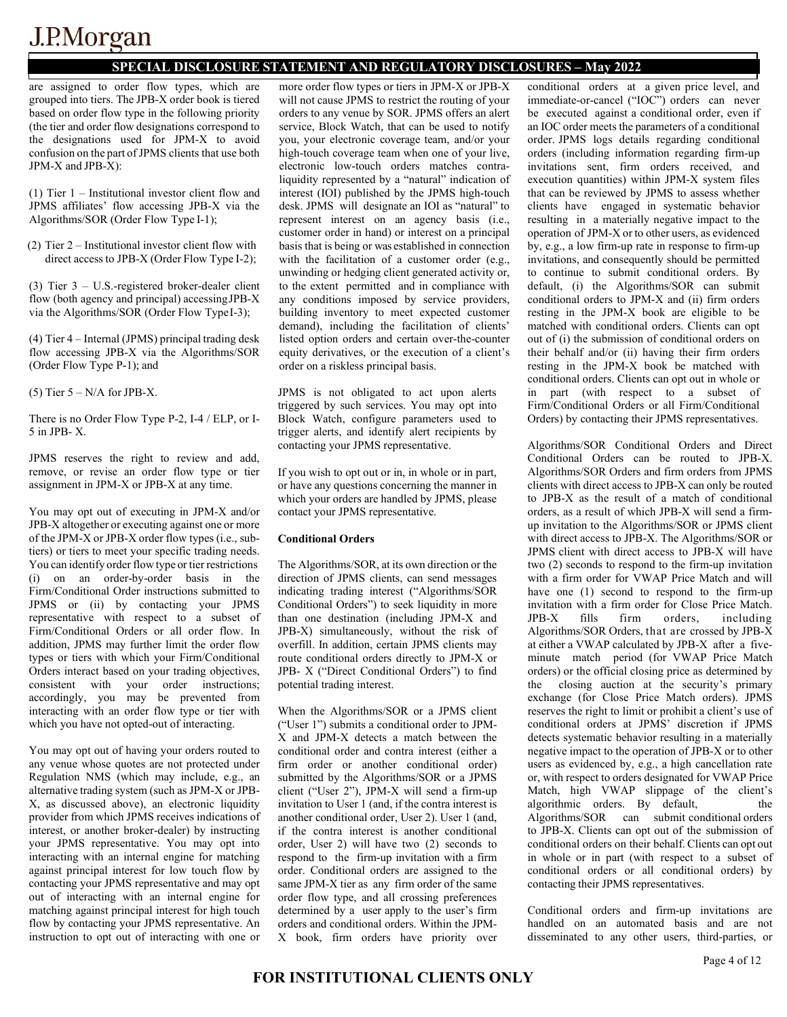### **SPECIAL DISCLOSURE STATEMENT AND REGULATORY DISCLOSURES – May 2022**

are assigned to order flow types, which are grouped into tiers. The JPB-X order book is tiered based on order flow type in the following priority (the tier and order flow designations correspond to the designations used for JPM-X to avoid confusion on the part ofJPMS clients that use both JPM-X and JPB-X):

(1) Tier 1 – Institutional investor client flow and JPMS affiliates' flow accessing JPB-X via the Algorithms/SOR (Order Flow Type I-1);

(2) Tier 2 – Institutional investor client flow with direct access to JPB-X (Order Flow Type I-2);

(3) Tier 3 – U.S.-registered broker-dealer client flow (both agency and principal) accessingJPB-X via the Algorithms/SOR (Order Flow Type I-3);

(4) Tier 4 – Internal (JPMS) principal trading desk flow accessing JPB-X via the Algorithms/SOR (Order Flow Type P-1); and

 $(5)$  Tier  $5 - N/A$  for JPB-X.

There is no Order Flow Type P-2, I-4 / ELP, or I-5 in JPB- X.

JPMS reserves the right to review and add, remove, or revise an order flow type or tier assignment in JPM-X or JPB-X at any time.

You may opt out of executing in JPM-X and/or JPB-X altogether or executing against one or more of the JPM-X or JPB-X order flow types (i.e., subtiers) or tiers to meet your specific trading needs. You can identify order flow type or tier restrictions (i) on an order-by-order basis in the Firm/Conditional Order instructions submitted to JPMS or (ii) by contacting your JPMS representative with respect to a subset of Firm/Conditional Orders or all order flow. In addition, JPMS may further limit the order flow types or tiers with which your Firm/Conditional Orders interact based on your trading objectives, consistent with your order instructions; accordingly, you may be prevented from interacting with an order flow type or tier with which you have not opted-out of interacting.

You may opt out of having your orders routed to any venue whose quotes are not protected under Regulation NMS (which may include, e.g., an alternative trading system (such as JPM-X or JPB-X, as discussed above), an electronic liquidity provider from which JPMS receives indications of interest, or another broker-dealer) by instructing your JPMS representative. You may opt into interacting with an internal engine for matching against principal interest for low touch flow by contacting your JPMS representative and may opt out of interacting with an internal engine for matching against principal interest for high touch flow by contacting your JPMS representative. An instruction to opt out of interacting with one or

more order flow types or tiers in JPM-X or JPB-X will not cause JPMS to restrict the routing of your orders to any venue by SOR. JPMS offers an alert service, Block Watch, that can be used to notify you, your electronic coverage team, and/or your high-touch coverage team when one of your live, electronic low-touch orders matches contraliquidity represented by a "natural" indication of interest (IOI) published by the JPMS high-touch desk. JPMS will designate an IOI as "natural" to represent interest on an agency basis (i.e., customer order in hand) or interest on a principal basis that is being or was established in connection with the facilitation of a customer order (e.g., unwinding or hedging client generated activity or, to the extent permitted and in compliance with any conditions imposed by service providers, building inventory to meet expected customer demand), including the facilitation of clients' listed option orders and certain over-the-counter equity derivatives, or the execution of a client's order on a riskless principal basis.

JPMS is not obligated to act upon alerts triggered by such services. You may opt into Block Watch, configure parameters used to trigger alerts, and identify alert recipients by contacting your JPMS representative.

If you wish to opt out or in, in whole or in part, or have any questions concerning the manner in which your orders are handled by JPMS, please contact your JPMS representative.

#### **Conditional Orders**

The Algorithms/SOR, at its own direction or the direction of JPMS clients, can send messages indicating trading interest ("Algorithms/SOR Conditional Orders") to seek liquidity in more than one destination (including JPM-X and JPB-X) simultaneously, without the risk of overfill. In addition, certain JPMS clients may route conditional orders directly to JPM-X or JPB- X ("Direct Conditional Orders") to find potential trading interest.

When the Algorithms/SOR or a JPMS client ("User 1") submits a conditional order to JPM-X and JPM-X detects a match between the conditional order and contra interest (either a firm order or another conditional order) submitted by the Algorithms/SOR or a JPMS client ("User 2"), JPM-X will send a firm-up invitation to User 1 (and, if the contra interest is another conditional order, User 2). User 1 (and, if the contra interest is another conditional order, User 2) will have two (2) seconds to respond to the firm-up invitation with a firm order. Conditional orders are assigned to the same JPM-X tier as any firm order of the same order flow type, and all crossing preferences determined by a user apply to the user's firm orders and conditional orders. Within the JPM-X book, firm orders have priority over

conditional orders at a given price level, and immediate-or-cancel ("IOC") orders can never be executed against a conditional order, even if an IOC order meets the parameters of a conditional order. JPMS logs details regarding conditional orders (including information regarding firm-up invitations sent, firm orders received, and execution quantities) within JPM-X system files that can be reviewed by JPMS to assess whether clients have engaged in systematic behavior resulting in a materially negative impact to the operation of JPM-X or to other users, as evidenced by, e.g., a low firm-up rate in response to firm-up invitations, and consequently should be permitted to continue to submit conditional orders. By default, (i) the Algorithms/SOR can submit conditional orders to JPM-X and (ii) firm orders resting in the JPM-X book are eligible to be matched with conditional orders. Clients can opt out of (i) the submission of conditional orders on their behalf and/or (ii) having their firm orders resting in the JPM-X book be matched with conditional orders. Clients can opt out in whole or in part (with respect to a subset of Firm/Conditional Orders or all Firm/Conditional Orders) by contacting their JPMS representatives.

Algorithms/SOR Conditional Orders and Direct Conditional Orders can be routed to JPB-X. Algorithms/SOR Orders and firm orders from JPMS clients with direct access to JPB-X can only be routed to JPB-X as the result of a match of conditional orders, as a result of which JPB-X will send a firmup invitation to the Algorithms/SOR or JPMS client with direct access to JPB-X. The Algorithms/SOR or JPMS client with direct access to JPB-X will have two (2) seconds to respond to the firm-up invitation with a firm order for VWAP Price Match and will have one (1) second to respond to the firm-up invitation with a firm order for Close Price Match. JPB-X fills firm orders, including Algorithms/SOR Orders, that are crossed by JPB-X at either a VWAP calculated by JPB-X after a fiveminute match period (for VWAP Price Match orders) or the official closing price as determined by the closing auction at the security's primary exchange (for Close Price Match orders). JPMS reserves the right to limit or prohibit a client's use of conditional orders at JPMS' discretion if JPMS detects systematic behavior resulting in a materially negative impact to the operation of JPB-X or to other users as evidenced by, e.g., a high cancellation rate or, with respect to orders designated for VWAP Price Match, high VWAP slippage of the client's algorithmic orders. By default, Algorithms/SOR can submit conditional orders to JPB-X. Clients can opt out of the submission of conditional orders on their behalf. Clients can opt out in whole or in part (with respect to a subset of conditional orders or all conditional orders) by contacting their JPMS representatives.

Conditional orders and firm-up invitations are handled on an automated basis and are not disseminated to any other users, third-parties, or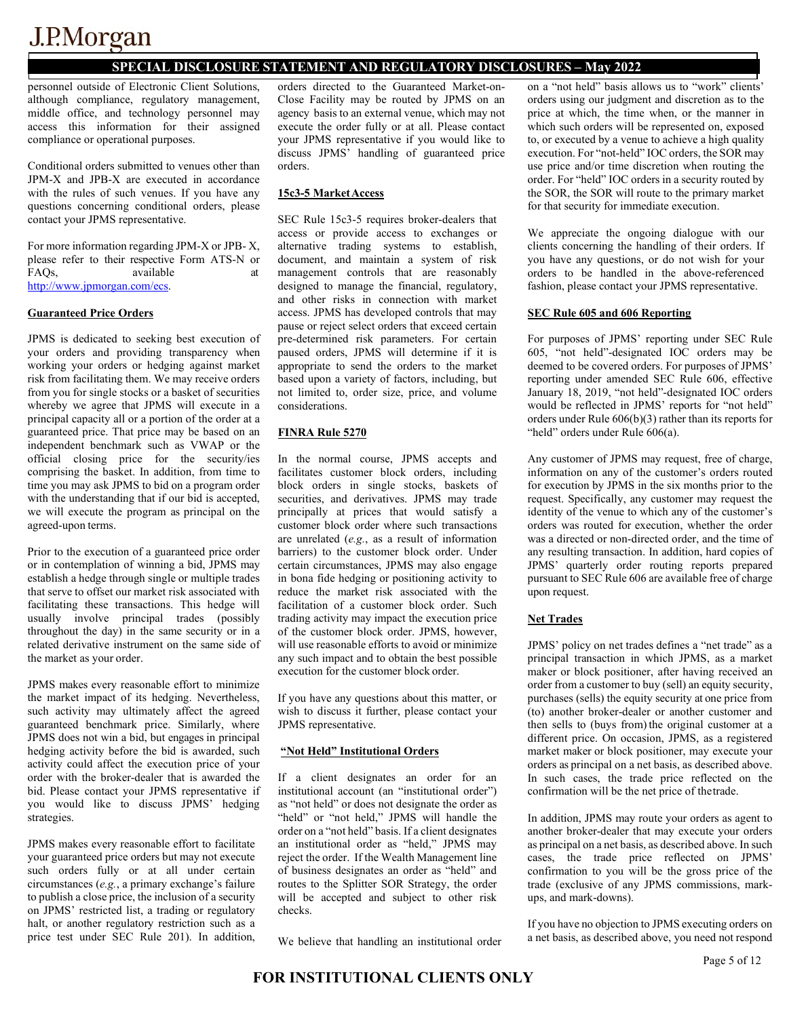### **SPECIAL DISCLOSURE STATEMENT AND REGULATORY DISCLOSURES – May 2022**

personnel outside of Electronic Client Solutions, although compliance, regulatory management, middle office, and technology personnel may access this information for their assigned compliance or operational purposes.

Conditional orders submitted to venues other than JPM-X and JPB-X are executed in accordance with the rules of such venues. If you have any questions concerning conditional orders, please contact your JPMS representative.

For more information regarding JPM-X or JPB- X, please refer to their respective Form ATS-N or FAOs. available [http://www.jpmorgan.com/ecs.](http://www.jpmorgan.com/ecs)

#### **Guaranteed Price Orders**

JPMS is dedicated to seeking best execution of your orders and providing transparency when working your orders or hedging against market risk from facilitating them. We may receive orders from you for single stocks or a basket of securities whereby we agree that JPMS will execute in a principal capacity all or a portion of the order at a guaranteed price. That price may be based on an independent benchmark such as VWAP or the official closing price for the security/ies comprising the basket. In addition, from time to time you may ask JPMS to bid on a program order with the understanding that if our bid is accepted, we will execute the program as principal on the agreed-upon terms.

Prior to the execution of a guaranteed price order or in contemplation of winning a bid, JPMS may establish a hedge through single or multiple trades that serve to offset our market risk associated with facilitating these transactions. This hedge will usually involve principal trades (possibly throughout the day) in the same security or in a related derivative instrument on the same side of the market as your order.

JPMS makes every reasonable effort to minimize the market impact of its hedging. Nevertheless, such activity may ultimately affect the agreed guaranteed benchmark price. Similarly, where JPMS does not win a bid, but engages in principal hedging activity before the bid is awarded, such activity could affect the execution price of your order with the broker-dealer that is awarded the bid. Please contact your JPMS representative if you would like to discuss JPMS' hedging strategies.

JPMS makes every reasonable effort to facilitate your guaranteed price orders but may not execute such orders fully or at all under certain circumstances (*e.g.*, a primary exchange's failure to publish a close price, the inclusion of a security on JPMS' restricted list, a trading or regulatory halt, or another regulatory restriction such as a price test under SEC Rule 201). In addition,

orders directed to the Guaranteed Market-on-Close Facility may be routed by JPMS on an agency basis to an external venue, which may not execute the order fully or at all. Please contact your JPMS representative if you would like to discuss JPMS' handling of guaranteed price orders.

#### **15c3-5 MarketAccess**

SEC Rule 15c3-5 requires broker-dealers that access or provide access to exchanges or alternative trading systems to establish, document, and maintain a system of risk management controls that are reasonably designed to manage the financial, regulatory, and other risks in connection with market access. JPMS has developed controls that may pause or reject select orders that exceed certain pre-determined risk parameters. For certain paused orders, JPMS will determine if it is appropriate to send the orders to the market based upon a variety of factors, including, but not limited to, order size, price, and volume considerations.

#### **FINRA Rule 5270**

In the normal course, JPMS accepts and facilitates customer block orders, including block orders in single stocks, baskets of securities, and derivatives. JPMS may trade principally at prices that would satisfy a customer block order where such transactions are unrelated (*e.g.*, as a result of information barriers) to the customer block order. Under certain circumstances, JPMS may also engage in bona fide hedging or positioning activity to reduce the market risk associated with the facilitation of a customer block order. Such trading activity may impact the execution price of the customer block order. JPMS, however, will use reasonable efforts to avoid or minimize any such impact and to obtain the best possible execution for the customer block order.

If you have any questions about this matter, or wish to discuss it further, please contact your JPMS representative.

#### **"Not Held" Institutional Orders**

If a client designates an order for an institutional account (an "institutional order") as "not held" or does not designate the order as "held" or "not held," JPMS will handle the order on a "not held" basis. If a client designates an institutional order as "held," JPMS may reject the order. If the Wealth Management line of business designates an order as "held" and routes to the Splitter SOR Strategy, the order will be accepted and subject to other risk checks.

We believe that handling an institutional order

on a "not held" basis allows us to "work" clients' orders using our judgment and discretion as to the price at which, the time when, or the manner in which such orders will be represented on, exposed to, or executed by a venue to achieve a high quality execution. For "not-held" IOC orders, the SOR may use price and/or time discretion when routing the order. For "held" IOC orders in a security routed by the SOR, the SOR will route to the primary market for that security for immediate execution.

We appreciate the ongoing dialogue with our clients concerning the handling of their orders. If you have any questions, or do not wish for your orders to be handled in the above-referenced fashion, please contact your JPMS representative.

#### **SEC Rule 605 and 606 Reporting**

For purposes of JPMS' reporting under SEC Rule 605, "not held"-designated IOC orders may be deemed to be covered orders. For purposes of JPMS' reporting under amended SEC Rule 606, effective January 18, 2019, "not held"-designated IOC orders would be reflected in JPMS' reports for "not held" orders under Rule 606(b)(3) rather than its reports for "held" orders under Rule 606(a).

Any customer of JPMS may request, free of charge, information on any of the customer's orders routed for execution by JPMS in the six months prior to the request. Specifically, any customer may request the identity of the venue to which any of the customer's orders was routed for execution, whether the order was a directed or non-directed order, and the time of any resulting transaction. In addition, hard copies of JPMS' quarterly order routing reports prepared pursuant to SEC Rule 606 are available free of charge upon request.

#### **Net Trades**

JPMS' policy on net trades defines a "net trade" as a principal transaction in which JPMS, as a market maker or block positioner, after having received an order from a customer to buy (sell) an equity security, purchases (sells) the equity security at one price from (to) another broker-dealer or another customer and then sells to (buys from) the original customer at a different price. On occasion, JPMS, as a registered market maker or block positioner, may execute your orders as principal on a net basis, as described above. In such cases, the trade price reflected on the confirmation will be the net price of thetrade.

In addition, JPMS may route your orders as agent to another broker-dealer that may execute your orders as principal on a net basis, as described above. In such cases, the trade price reflected on JPMS' confirmation to you will be the gross price of the trade (exclusive of any JPMS commissions, markups, and mark-downs).

If you have no objection to JPMS executing orders on a net basis, as described above, you need not respond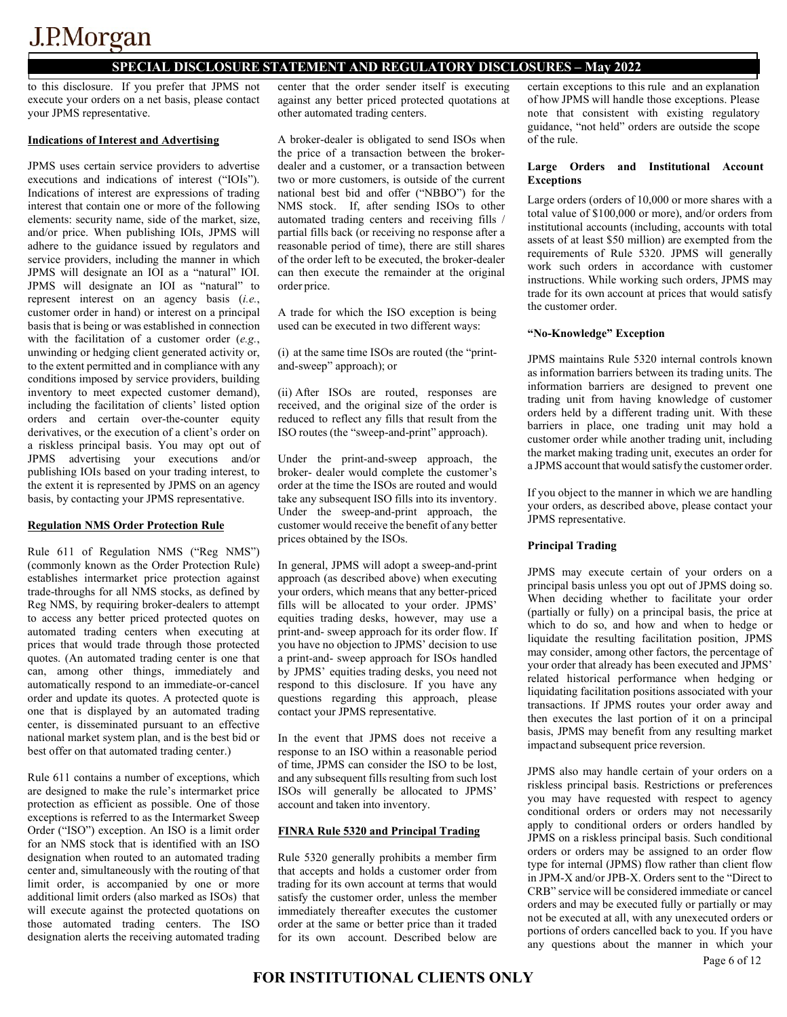### **SPECIAL DISCLOSURE STATEMENT AND REGULATORY DISCLOSURES – May 2022**

to this disclosure. If you prefer that JPMS not execute your orders on a net basis, please contact your JPMS representative.

#### **Indications of Interest and Advertising**

JPMS uses certain service providers to advertise executions and indications of interest ("IOIs"). Indications of interest are expressions of trading interest that contain one or more of the following elements: security name, side of the market, size, and/or price. When publishing IOIs, JPMS will adhere to the guidance issued by regulators and service providers, including the manner in which JPMS will designate an IOI as a "natural" IOI. JPMS will designate an IOI as "natural" to represent interest on an agency basis (*i.e.*, customer order in hand) or interest on a principal basis that is being or was established in connection with the facilitation of a customer order (*e.g.*, unwinding or hedging client generated activity or, to the extent permitted and in compliance with any conditions imposed by service providers, building inventory to meet expected customer demand), including the facilitation of clients' listed option orders and certain over-the-counter equity derivatives, or the execution of a client's order on a riskless principal basis. You may opt out of JPMS advertising your executions and/or publishing IOIs based on your trading interest, to the extent it is represented by JPMS on an agency basis, by contacting your JPMS representative.

#### **Regulation NMS Order Protection Rule**

Rule 611 of Regulation NMS ("Reg NMS") (commonly known as the Order Protection Rule) establishes intermarket price protection against trade-throughs for all NMS stocks, as defined by Reg NMS, by requiring broker-dealers to attempt to access any better priced protected quotes on automated trading centers when executing at prices that would trade through those protected quotes. (An automated trading center is one that can, among other things, immediately and automatically respond to an immediate-or-cancel order and update its quotes. A protected quote is one that is displayed by an automated trading center, is disseminated pursuant to an effective national market system plan, and is the best bid or best offer on that automated trading center.)

Rule 611 contains a number of exceptions, which are designed to make the rule's intermarket price protection as efficient as possible. One of those exceptions is referred to as the Intermarket Sweep Order ("ISO") exception. An ISO is a limit order for an NMS stock that is identified with an ISO designation when routed to an automated trading center and, simultaneously with the routing of that limit order, is accompanied by one or more additional limit orders (also marked as ISOs) that will execute against the protected quotations on those automated trading centers. The ISO designation alerts the receiving automated trading

center that the order sender itself is executing against any better priced protected quotations at other automated trading centers.

A broker-dealer is obligated to send ISOs when the price of a transaction between the brokerdealer and a customer, or a transaction between two or more customers, is outside of the current national best bid and offer ("NBBO") for the NMS stock. If, after sending ISOs to other automated trading centers and receiving fills / partial fills back (or receiving no response after a reasonable period of time), there are still shares of the order left to be executed, the broker-dealer can then execute the remainder at the original order price.

A trade for which the ISO exception is being used can be executed in two different ways:

(i) at the same time ISOs are routed (the "printand-sweep" approach); or

(ii) After ISOs are routed, responses are received, and the original size of the order is reduced to reflect any fills that result from the ISO routes (the "sweep-and-print" approach).

Under the print-and-sweep approach, the broker- dealer would complete the customer's order at the time the ISOs are routed and would take any subsequent ISO fills into its inventory. Under the sweep-and-print approach, the customer would receive the benefit of any better prices obtained by the ISOs.

In general, JPMS will adopt a sweep-and-print approach (as described above) when executing your orders, which means that any better-priced fills will be allocated to your order. JPMS' equities trading desks, however, may use a print-and- sweep approach for its order flow. If you have no objection to JPMS' decision to use a print-and- sweep approach for ISOs handled by JPMS' equities trading desks, you need not respond to this disclosure. If you have any questions regarding this approach, please contact your JPMS representative.

In the event that JPMS does not receive a response to an ISO within a reasonable period of time, JPMS can consider the ISO to be lost, and any subsequent fills resulting from such lost ISOs will generally be allocated to JPMS' account and taken into inventory.

#### **FINRA Rule 5320 and Principal Trading**

Rule 5320 generally prohibits a member firm that accepts and holds a customer order from trading for its own account at terms that would satisfy the customer order, unless the member immediately thereafter executes the customer order at the same or better price than it traded for its own account. Described below are

certain exceptions to this rule and an explanation of how JPMS will handle those exceptions. Please note that consistent with existing regulatory guidance, "not held" orders are outside the scope of the rule.

#### **Large Orders and Institutional Account Exceptions**

Large orders (orders of 10,000 or more shares with a total value of \$100,000 or more), and/or orders from institutional accounts (including, accounts with total assets of at least \$50 million) are exempted from the requirements of Rule 5320. JPMS will generally work such orders in accordance with customer instructions. While working such orders, JPMS may trade for its own account at prices that would satisfy the customer order.

#### **"No-Knowledge" Exception**

JPMS maintains Rule 5320 internal controls known as information barriers between its trading units. The information barriers are designed to prevent one trading unit from having knowledge of customer orders held by a different trading unit. With these barriers in place, one trading unit may hold a customer order while another trading unit, including the market making trading unit, executes an order for a JPMS account that would satisfy the customer order.

If you object to the manner in which we are handling your orders, as described above, please contact your JPMS representative.

#### **Principal Trading**

JPMS may execute certain of your orders on a principal basis unless you opt out of JPMS doing so. When deciding whether to facilitate your order (partially or fully) on a principal basis, the price at which to do so, and how and when to hedge or liquidate the resulting facilitation position, JPMS may consider, among other factors, the percentage of your order that already has been executed and JPMS' related historical performance when hedging or liquidating facilitation positions associated with your transactions. If JPMS routes your order away and then executes the last portion of it on a principal basis, JPMS may benefit from any resulting market impactand subsequent price reversion.

JPMS also may handle certain of your orders on a riskless principal basis. Restrictions or preferences you may have requested with respect to agency conditional orders or orders may not necessarily apply to conditional orders or orders handled by JPMS on a riskless principal basis. Such conditional orders or orders may be assigned to an order flow type for internal (JPMS) flow rather than client flow in JPM-X and/or JPB-X. Orders sent to the "Direct to CRB" service will be considered immediate or cancel orders and may be executed fully or partially or may not be executed at all, with any unexecuted orders or portions of orders cancelled back to you. If you have any questions about the manner in which your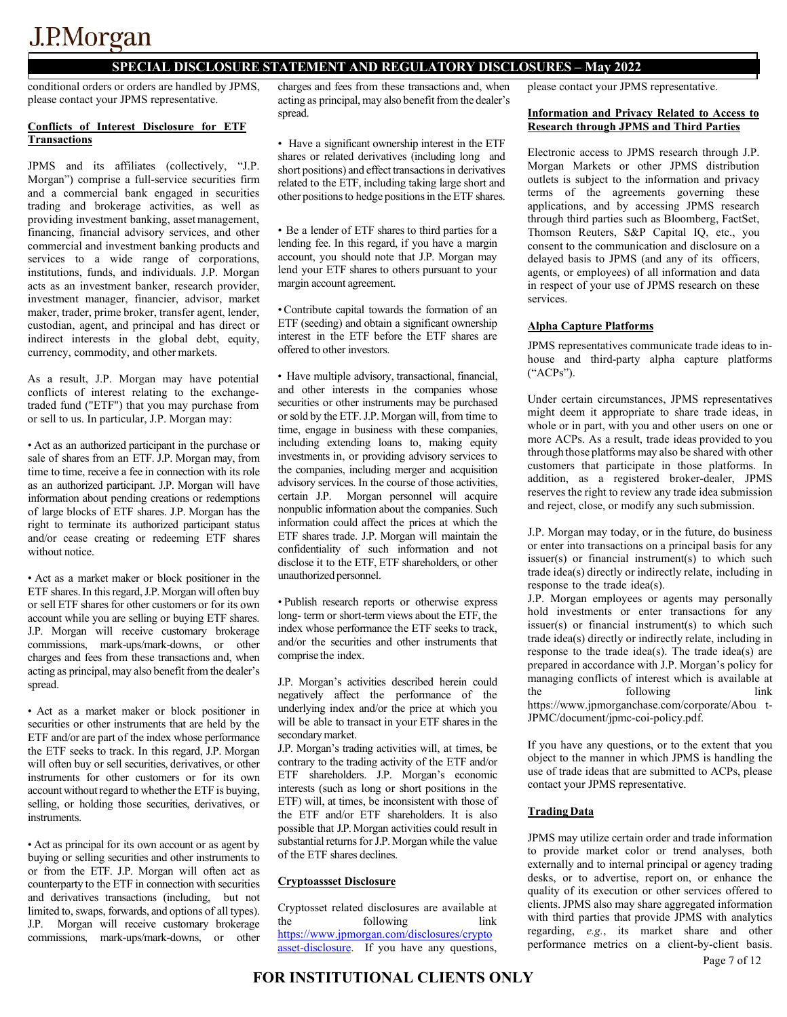### **SPECIAL DISCLOSURE STATEMENT AND REGULATORY DISCLOSURES – May 2022**

conditional orders or orders are handled by JPMS, please contact your JPMS representative.

#### **Conflicts of Interest Disclosure for ETF Transactions**

JPMS and its affiliates (collectively, "J.P. Morgan") comprise a full-service securities firm and a commercial bank engaged in securities trading and brokerage activities, as well as providing investment banking, assetmanagement, financing, financial advisory services, and other commercial and investment banking products and services to a wide range of corporations, institutions, funds, and individuals. J.P. Morgan acts as an investment banker, research provider, investment manager, financier, advisor, market maker, trader, prime broker, transfer agent, lender, custodian, agent, and principal and has direct or indirect interests in the global debt, equity, currency, commodity, and other markets.

As a result, J.P. Morgan may have potential conflicts of interest relating to the exchangetraded fund ("ETF") that you may purchase from or sell to us. In particular, J.P. Morgan may:

• Act as an authorized participant in the purchase or sale of shares from an ETF. J.P. Morgan may, from time to time, receive a fee in connection with its role as an authorized participant. J.P. Morgan will have information about pending creations or redemptions of large blocks of ETF shares. J.P. Morgan has the right to terminate its authorized participant status and/or cease creating or redeeming ETF shares without notice.

• Act as a market maker or block positioner in the ETF shares. In this regard, J.P. Morgan will often buy or sell ETF shares for other customers or for its own account while you are selling or buying ETF shares. J.P. Morgan will receive customary brokerage commissions, mark-ups/mark-downs, or other charges and fees from these transactions and, when acting as principal, may also benefit from the dealer's spread.

• Act as a market maker or block positioner in securities or other instruments that are held by the ETF and/or are part of the index whose performance the ETF seeks to track. In this regard, J.P. Morgan will often buy or sell securities, derivatives, or other instruments for other customers or for its own account without regard to whether the ETF is buying, selling, or holding those securities, derivatives, or instruments.

• Act as principal for its own account or as agent by buying or selling securities and other instruments to or from the ETF. J.P. Morgan will often act as counterparty to the ETF in connection with securities and derivatives transactions (including, but not limited to, swaps, forwards, and options of all types). J.P. Morgan will receive customary brokerage commissions, mark-ups/mark-downs, or other

charges and fees from these transactions and, when acting as principal, may also benefit from the dealer's spread.

• Have a significant ownership interest in the ETF shares or related derivatives (including long and short positions) and effect transactions in derivatives related to the ETF, including taking large short and other positions to hedge positions in the ETF shares.

• Be a lender of ETF shares to third parties for a lending fee. In this regard, if you have a margin account, you should note that J.P. Morgan may lend your ETF shares to others pursuant to your margin account agreement.

• Contribute capital towards the formation of an ETF (seeding) and obtain a significant ownership interest in the ETF before the ETF shares are offered to other investors.

• Have multiple advisory, transactional, financial, and other interests in the companies whose securities or other instruments may be purchased or sold by the ETF. J.P. Morgan will, from time to time, engage in business with these companies, including extending loans to, making equity investments in, or providing advisory services to the companies, including merger and acquisition advisory services. In the course of those activities, certain J.P. Morgan personnel will acquire nonpublic information about the companies. Such information could affect the prices at which the ETF shares trade. J.P. Morgan will maintain the confidentiality of such information and not disclose it to the ETF, ETF shareholders, or other unauthorized personnel.

• Publish research reports or otherwise express long- term or short-term views about the ETF, the index whose performance the ETF seeks to track, and/or the securities and other instruments that comprise the index.

J.P. Morgan's activities described herein could negatively affect the performance of the underlying index and/or the price at which you will be able to transact in your ETF shares in the secondary market.

J.P. Morgan's trading activities will, at times, be contrary to the trading activity of the ETF and/or ETF shareholders. J.P. Morgan's economic interests (such as long or short positions in the ETF) will, at times, be inconsistent with those of the ETF and/or ETF shareholders. It is also possible that J.P. Morgan activities could result in substantial returns for J.P. Morgan while the value of the ETF shares declines.

#### **Cryptoassset Disclosure**

Cryptosset related disclosures are available at the following link [https://www.jpmorgan.com/disclosures/crypto](https://www.jpmorgan.com/disclosures/cryptoasset-disclosure) [asset-disclosure.](https://www.jpmorgan.com/disclosures/cryptoasset-disclosure) If you have any questions, please contact your JPMS representative.

#### **Information and Privacy Related to Access to Research through JPMS and Third Parties**

Electronic access to JPMS research through J.P. Morgan Markets or other JPMS distribution outlets is subject to the information and privacy terms of the agreements governing these applications, and by accessing JPMS research through third parties such as Bloomberg, FactSet, Thomson Reuters, S&P Capital IQ, etc., you consent to the communication and disclosure on a delayed basis to JPMS (and any of its officers, agents, or employees) of all information and data in respect of your use of JPMS research on these services.

#### **Alpha Capture Platforms**

JPMS representatives communicate trade ideas to inhouse and third-party alpha capture platforms ("ACPs").

Under certain circumstances, JPMS representatives might deem it appropriate to share trade ideas, in whole or in part, with you and other users on one or more ACPs. As a result, trade ideas provided to you through those platforms may also be shared with other customers that participate in those platforms. In addition, as a registered broker-dealer, JPMS reserves the right to review any trade idea submission and reject, close, or modify any such submission.

J.P. Morgan may today, or in the future, do business or enter into transactions on a principal basis for any issuer(s) or financial instrument(s) to which such trade idea(s) directly or indirectly relate, including in response to the trade idea(s).

J.P. Morgan employees or agents may personally hold investments or enter transactions for any issuer(s) or financial instrument(s) to which such trade idea(s) directly or indirectly relate, including in response to the trade idea(s). The trade idea(s) are prepared in accordance with J.P. Morgan's policy for managing conflicts of interest which is available at the following link https:[//www.jpmorganchase.com/corporate/Abou](http://www.jpmorganchase.com/corporate/Abou) t-JPMC/document/jpmc-coi-policy.pdf.

If you have any questions, or to the extent that you object to the manner in which JPMS is handling the use of trade ideas that are submitted to ACPs, please contact your JPMS representative.

#### **Trading Data**

JPMS may utilize certain order and trade information to provide market color or trend analyses, both externally and to internal principal or agency trading desks, or to advertise, report on, or enhance the quality of its execution or other services offered to clients. JPMS also may share aggregated information with third parties that provide JPMS with analytics regarding, *e.g.*, its market share and other performance metrics on a client-by-client basis.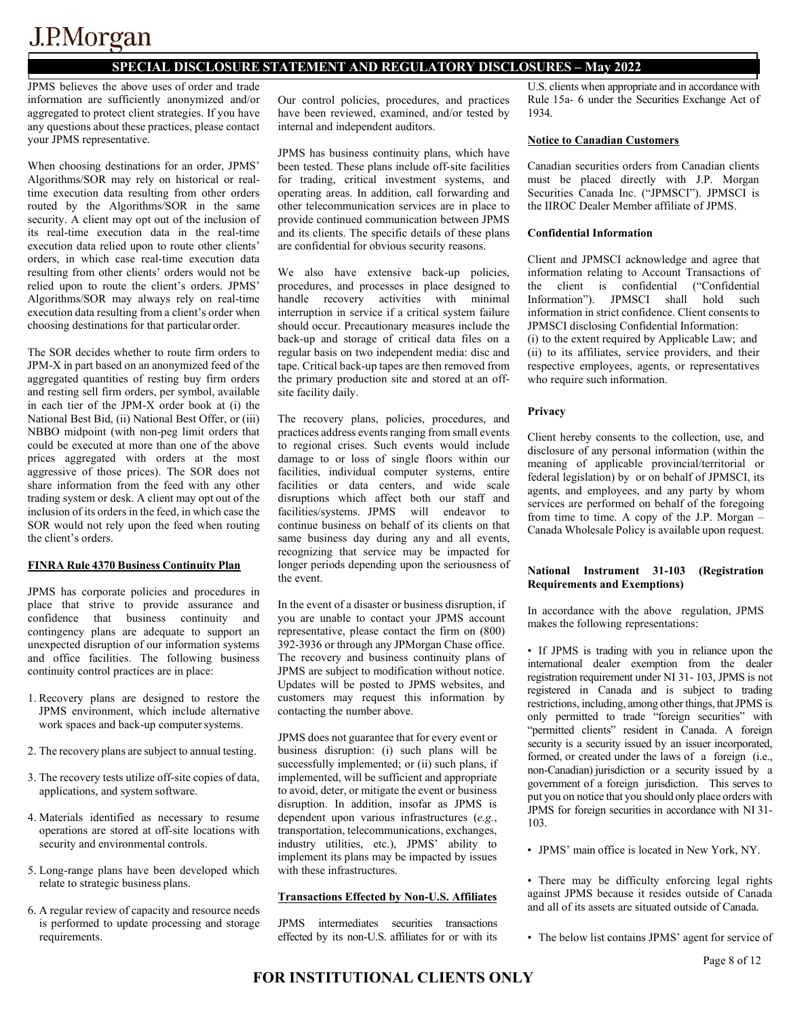### **SPECIAL DISCLOSURE STATEMENT AND REGULATORY DISCLOSURES – May 2022**

JPMS believes the above uses of order and trade information are sufficiently anonymized and/or aggregated to protect client strategies. If you have any questions about these practices, please contact your JPMS representative.

When choosing destinations for an order, JPMS' Algorithms/SOR may rely on historical or realtime execution data resulting from other orders routed by the Algorithms/SOR in the same security. A client may opt out of the inclusion of its real-time execution data in the real-time execution data relied upon to route other clients' orders, in which case real-time execution data resulting from other clients' orders would not be relied upon to route the client's orders. JPMS' Algorithms/SOR may always rely on real-time execution data resulting from a client's order when choosing destinations for that particular order.

The SOR decides whether to route firm orders to JPM-X in part based on an anonymized feed of the aggregated quantities of resting buy firm orders and resting sell firm orders, per symbol, available in each tier of the JPM-X order book at (i) the National Best Bid, (ii) National Best Offer, or (iii) NBBO midpoint (with non-peg limit orders that could be executed at more than one of the above prices aggregated with orders at the most aggressive of those prices). The SOR does not share information from the feed with any other trading system or desk. A client may opt out of the inclusion of its orders in the feed, in which case the SOR would not rely upon the feed when routing the client's orders.

#### **FINRA Rule 4370 Business Continuity Plan**

JPMS has corporate policies and procedures in place that strive to provide assurance and confidence that business continuity and contingency plans are adequate to support an unexpected disruption of our information systems and office facilities. The following business continuity control practices are in place:

- 1. Recovery plans are designed to restore the JPMS environment, which include alternative work spaces and back-up computer systems.
- 2. The recovery plans are subject to annual testing.
- 3. The recovery tests utilize off-site copies of data, applications, and system software.
- 4. Materials identified as necessary to resume operations are stored at off-site locations with security and environmental controls.
- 5. Long-range plans have been developed which relate to strategic business plans.
- 6. A regular review of capacity and resource needs is performed to update processing and storage requirements.

Our control policies, procedures, and practices have been reviewed, examined, and/or tested by internal and independent auditors.

JPMS has business continuity plans, which have been tested. These plans include off-site facilities for trading, critical investment systems, and operating areas. In addition, call forwarding and other telecommunication services are in place to provide continued communication between JPMS and its clients. The specific details of these plans are confidential for obvious security reasons.

We also have extensive back-up policies, procedures, and processes in place designed to handle recovery activities with minimal interruption in service if a critical system failure should occur. Precautionary measures include the back-up and storage of critical data files on a regular basis on two independent media: disc and tape. Critical back-up tapes are then removed from the primary production site and stored at an offsite facility daily.

The recovery plans, policies, procedures, and practices address events ranging from small events to regional crises. Such events would include damage to or loss of single floors within our facilities, individual computer systems, entire facilities or data centers, and wide scale disruptions which affect both our staff and facilities/systems. JPMS will endeavor to continue business on behalf of its clients on that same business day during any and all events, recognizing that service may be impacted for longer periods depending upon the seriousness of the event.

In the event of a disaster or business disruption, if you are unable to contact your JPMS account representative, please contact the firm on (800) 392-3936 or through any JPMorgan Chase office. The recovery and business continuity plans of JPMS are subject to modification without notice. Updates will be posted to JPMS websites, and customers may request this information by contacting the number above.

JPMS does not guarantee that for every event or business disruption: (i) such plans will be successfully implemented; or (ii) such plans, if implemented, will be sufficient and appropriate to avoid, deter, or mitigate the event or business disruption. In addition, insofar as JPMS is dependent upon various infrastructures (*e.g.*, transportation, telecommunications, exchanges, industry utilities, etc.), JPMS' ability to implement its plans may be impacted by issues with these infrastructures.

#### **Transactions Effected by Non-U.S. Affiliates**

JPMS intermediates securities transactions effected by its non-U.S. affiliates for or with its U.S. clients when appropriate and in accordance with Rule 15a- 6 under the Securities Exchange Act of 1934.

#### **Notice to Canadian Customers**

Canadian securities orders from Canadian clients must be placed directly with J.P. Morgan Securities Canada Inc. ("JPMSCI"). JPMSCI is the IIROC Dealer Member affiliate of JPMS.

#### **Confidential Information**

Client and JPMSCI acknowledge and agree that information relating to Account Transactions of the client is confidential ("Confidential Information"). JPMSCI shall hold such information in strict confidence. Client consents to JPMSCI disclosing Confidential Information:

(i) to the extent required by Applicable Law; and (ii) to its affiliates, service providers, and their respective employees, agents, or representatives who require such information.

#### **Privacy**

Client hereby consents to the collection, use, and disclosure of any personal information (within the meaning of applicable provincial/territorial or federal legislation) by or on behalf of JPMSCI, its agents, and employees, and any party by whom services are performed on behalf of the foregoing from time to time. A copy of the J.P. Morgan – Canada Wholesale Policy is available upon request.

#### **National Instrument 31-103 (Registration Requirements and Exemptions)**

In accordance with the above regulation, JPMS makes the following representations:

• If JPMS is trading with you in reliance upon the international dealer exemption from the dealer registration requirement under NI 31- 103, JPMS is not registered in Canada and is subject to trading restrictions, including, among other things, that JPMS is only permitted to trade "foreign securities" with "permitted clients" resident in Canada. A foreign security is a security issued by an issuer incorporated, formed, or created under the laws of a foreign (i.e., non-Canadian) jurisdiction or a security issued by a government of a foreign jurisdiction. This serves to put you on notice that you should only place orders with JPMS for foreign securities in accordance with NI 31- 103.

• JPMS' main office is located in New York, NY.

• There may be difficulty enforcing legal rights against JPMS because it resides outside of Canada and all of its assets are situated outside of Canada.

• The below list contains JPMS' agent for service of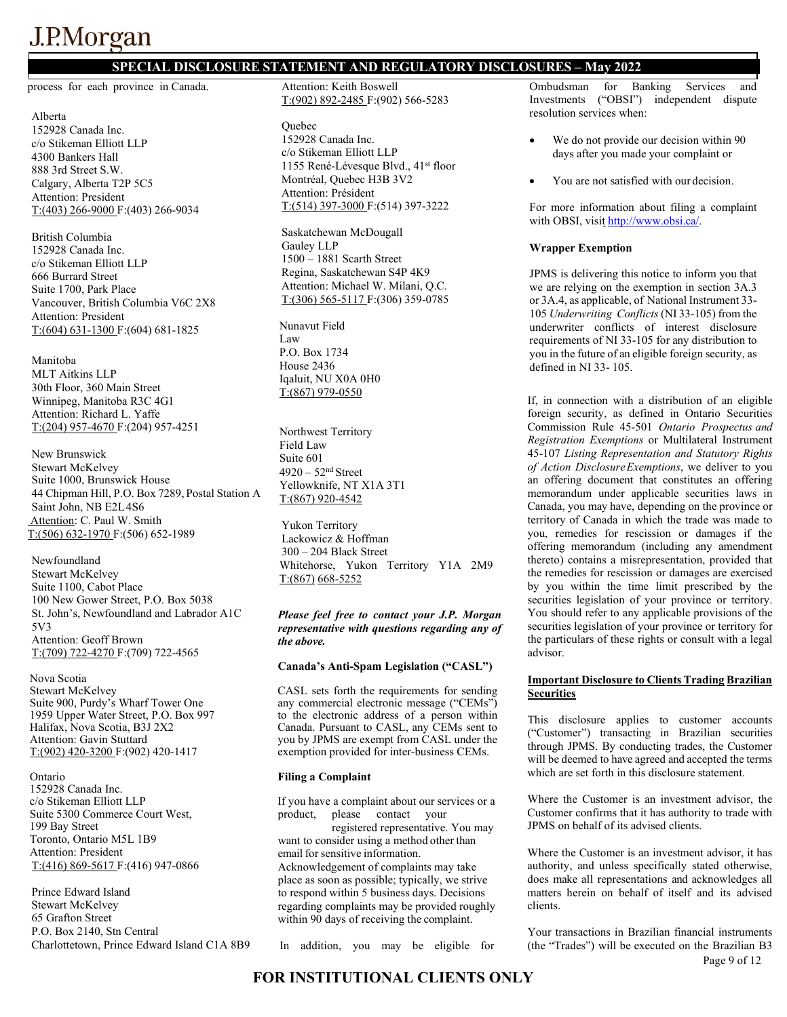### **SPECIAL DISCLOSURE STATEMENT AND REGULATORY DISCLOSURES – May 2022**

process for each province in Canada.

Alberta 152928 Canada Inc. c/o Stikeman Elliott LLP 4300 Bankers Hall 888 3rd Street S.W. Calgary, Alberta T2P 5C5 Attention: President T:(403) 266-9000 F:(403) 266-9034

British Columbia 152928 Canada Inc. c/o Stikeman Elliott LLP 666 Burrard Street Suite 1700, Park Place Vancouver, British Columbia V6C 2X8 Attention: President T:(604) 631-1300 F:(604) 681-1825

Manitoba MLT Aitkins LLP 30th Floor, 360 Main Street Winnipeg, Manitoba R3C 4G1 Attention: Richard L. Yaffe T:(204) 957-4670 F:(204) 957-4251

New Brunswick Stewart McKelvey Suite 1000, Brunswick House 44 Chipman Hill, P.O. Box 7289, Postal Station A Saint John, NB E2L4S6 Attention: C. Paul W. Smith T:(506) 632-1970 F:(506) 652-1989

Newfoundland Stewart McKelvey Suite 1100, Cabot Place 100 New Gower Street, P.O. Box 5038 St. John's, Newfoundland and Labrador A1C 5V3 Attention: Geoff Brown T:(709) 722-4270 F:(709) 722-4565

Nova Scotia Stewart McKelvey Suite 900, Purdy's Wharf Tower One 1959 Upper Water Street, P.O. Box 997 Halifax, Nova Scotia, B3J 2X2 Attention: Gavin Stuttard T:(902) 420-3200 F:(902) 420-1417

Ontario 152928 Canada Inc. c/o Stikeman Elliott LLP Suite 5300 Commerce Court West, 199 Bay Street Toronto, Ontario M5L 1B9 Attention: President

T:(416) 869-5617 F:(416) 947-0866

Prince Edward Island Stewart McKelvey 65 Grafton Street P.O. Box 2140, Stn Central Charlottetown, Prince Edward Island C1A 8B9

Attention: Keith Boswell T:(902) 892-2485 F:(902) 566-5283

**Ouebec** 152928 Canada Inc. c/o Stikeman Elliott LLP 1155 René-Lévesque Blvd., 41st floor Montréal, Quebec H3B 3V2 Attention: Président T:(514) 397-3000 F:(514) 397-3222

Saskatchewan McDougall Gauley LLP 1500 – 1881 Scarth Street Regina, Saskatchewan S4P 4K9 Attention: Michael W. Milani, Q.C. T:(306) 565-5117 F:(306) 359-0785

Nunavut Field Law P.O. Box 1734 House 2436 Iqaluit, NU X0A 0H0 T:(867) 979-0550

Northwest Territory Field Law Suite 601  $4920 - 52<sup>nd</sup> Street$ Yellowknife, NT X1A 3T1 T:(867) 920-4542

Yukon Territory Lackowicz & Hoffman 300 – 204 Black Street Whitehorse, Yukon Territory Y1A 2M9 T:(867) 668-5252

#### *Please feel free to contact your J.P. Morgan representative with questions regarding any of the above.*

#### **Canada's Anti-Spam Legislation ("CASL")**

CASL sets forth the requirements for sending any commercial electronic message ("CEMs") to the electronic address of a person within Canada. Pursuant to CASL, any CEMs sent to you by JPMS are exempt from CASL under the exemption provided for inter-business CEMs.

#### **Filing a Complaint**

If you have a complaint about our services or a product, please contact your registered representative. You may want to consider using a method other than email for sensitive information. Acknowledgement of complaints may take place as soon as possible; typically, we strive to respond within 5 business days. Decisions regarding complaints may be provided roughly within 90 days of receiving the complaint.

In addition, you may be eligible for

Ombudsman for Banking Services and Investments ("OBSI") independent dispute resolution services when:

- We do not provide our decision within 90 days after you made your complaint or
- You are not satisfied with our decision.

For more information about filing a complaint with OBSI, visit [http://www.obsi.ca/.](http://www.obsi.ca/)

#### **Wrapper Exemption**

JPMS is delivering this notice to inform you that we are relying on the exemption in section 3A.3 or 3A.4, as applicable, of National Instrument 33- 105 *Underwriting Conflicts* (NI 33-105) from the underwriter conflicts of interest disclosure requirements of NI 33-105 for any distribution to you in the future of an eligible foreign security, as defined in NI 33- 105.

If, in connection with a distribution of an eligible foreign security, as defined in Ontario Securities Commission Rule 45-501 *Ontario Prospectus and Registration Exemptions* or Multilateral Instrument 45-107 *Listing Representation and Statutory Rights of Action DisclosureExemptions*, we deliver to you an offering document that constitutes an offering memorandum under applicable securities laws in Canada, you may have, depending on the province or territory of Canada in which the trade was made to you, remedies for rescission or damages if the offering memorandum (including any amendment thereto) contains a misrepresentation, provided that the remedies for rescission or damages are exercised by you within the time limit prescribed by the securities legislation of your province or territory. You should refer to any applicable provisions of the securities legislation of your province or territory for the particulars of these rights or consult with a legal advisor.

#### **Important Disclosure to Clients Trading Brazilian Securities**

This disclosure applies to customer accounts ("Customer") transacting in Brazilian securities through JPMS. By conducting trades, the Customer will be deemed to have agreed and accepted the terms which are set forth in this disclosure statement.

Where the Customer is an investment advisor, the Customer confirms that it has authority to trade with JPMS on behalf of its advised clients.

Where the Customer is an investment advisor, it has authority, and unless specifically stated otherwise, does make all representations and acknowledges all matters herein on behalf of itself and its advised clients.

Your transactions in Brazilian financial instruments (the "Trades") will be executed on the Brazilian B3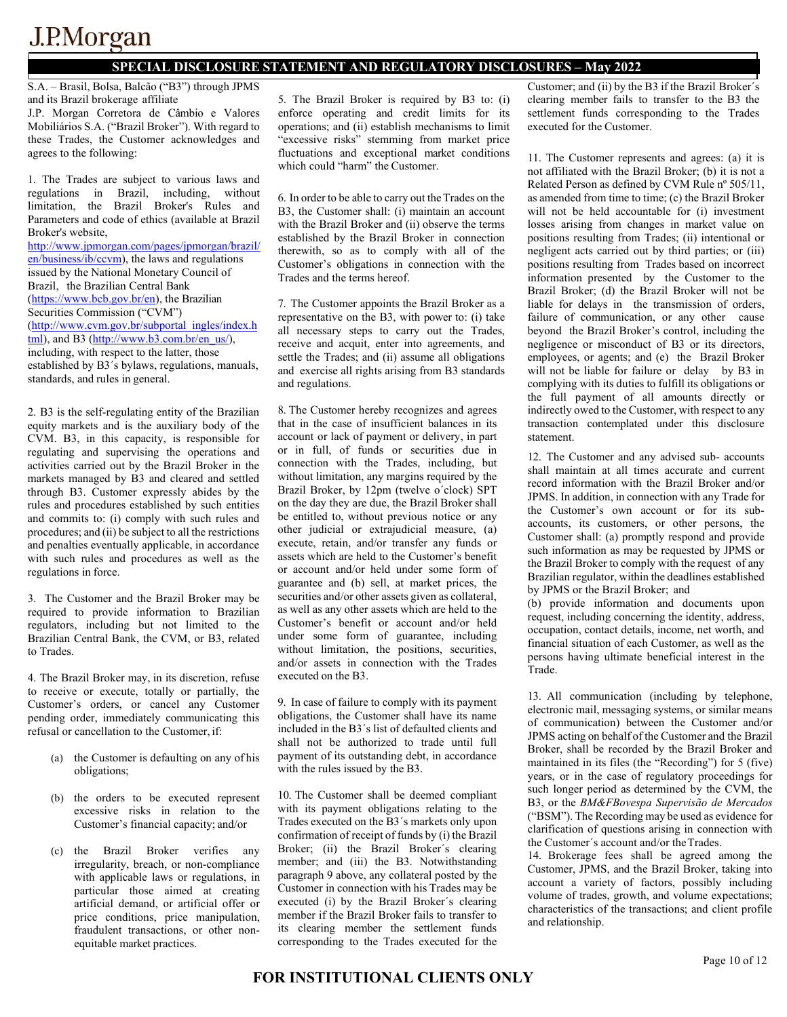### **SPECIAL DISCLOSURE STATEMENT AND REGULATORY DISCLOSURES – May 2022**

S.A. – Brasil, Bolsa, Balcão ("B3") through JPMS and its Brazil brokerage affiliate

J.P. Morgan Corretora de Câmbio e Valores Mobiliários S.A. ("Brazil Broker"). With regard to these Trades, the Customer acknowledges and agrees to the following:

1. The Trades are subject to various laws and regulations in Brazil, including, without limitation, the Brazil Broker's Rules and Parameters and code of ethics (available at Brazil Broker's website, [http://www.jpmorgan.com/pages/jpmorgan/brazil/](http://www.jpmorgan.com/pages/jpmorgan/brazil/en/business/ib/ccvm) [en/business/ib/ccvm\)](http://www.jpmorgan.com/pages/jpmorgan/brazil/en/business/ib/ccvm), the laws and regulations issued by the National Monetary Council of Brazil, the Brazilian Central Bank [\(https://www.bcb.gov.br/en\)](https://www.bcb.gov.br/en), the Brazilian

Securities Commission ("CVM") [\(http://www.cvm.gov.br/subportal\\_ingles/index.h](http://www.cvm.gov.br/subportal_ingles/index.html) [tml\),](http://www.cvm.gov.br/subportal_ingles/index.html) and B3 [\(http://www.b3.com.br/en\\_us/\),](http://www.b3.com.br/en_us/)) including, with respect to the latter, those

established by B3´s bylaws, regulations, manuals, standards, and rules in general.

2. B3 is the self-regulating entity of the Brazilian equity markets and is the auxiliary body of the CVM. B3, in this capacity, is responsible for regulating and supervising the operations and activities carried out by the Brazil Broker in the markets managed by B3 and cleared and settled through B3. Customer expressly abides by the rules and procedures established by such entities and commits to: (i) comply with such rules and procedures; and (ii) be subject to all the restrictions and penalties eventually applicable, in accordance with such rules and procedures as well as the regulations in force.

3. The Customer and the Brazil Broker may be required to provide information to Brazilian regulators, including but not limited to the Brazilian Central Bank, the CVM, or B3, related to Trades.

4. The Brazil Broker may, in its discretion, refuse to receive or execute, totally or partially, the Customer's orders, or cancel any Customer pending order, immediately communicating this refusal or cancellation to the Customer, if:

- (a) the Customer is defaulting on any of his obligations;
- (b) the orders to be executed represent excessive risks in relation to the Customer's financial capacity; and/or
- (c) the Brazil Broker verifies any irregularity, breach, or non-compliance with applicable laws or regulations, in particular those aimed at creating artificial demand, or artificial offer or price conditions, price manipulation, fraudulent transactions, or other nonequitable market practices.

5. The Brazil Broker is required by B3 to: (i) enforce operating and credit limits for its operations; and (ii) establish mechanisms to limit "excessive risks" stemming from market price fluctuations and exceptional market conditions which could "harm" the Customer.

6. In order to be able to carry out theTrades on the B3, the Customer shall: (i) maintain an account with the Brazil Broker and (ii) observe the terms established by the Brazil Broker in connection therewith, so as to comply with all of the Customer's obligations in connection with the Trades and the terms hereof.

7. The Customer appoints the Brazil Broker as a representative on the B3, with power to: (i) take all necessary steps to carry out the Trades, receive and acquit, enter into agreements, and settle the Trades; and (ii) assume all obligations and exercise all rights arising from B3 standards and regulations.

8. The Customer hereby recognizes and agrees that in the case of insufficient balances in its account or lack of payment or delivery, in part or in full, of funds or securities due in connection with the Trades, including, but without limitation, any margins required by the Brazil Broker, by 12pm (twelve o´clock) SPT on the day they are due, the Brazil Broker shall be entitled to, without previous notice or any other judicial or extrajudicial measure, (a) execute, retain, and/or transfer any funds or assets which are held to the Customer's benefit or account and/or held under some form of guarantee and (b) sell, at market prices, the securities and/or other assets given as collateral, as well as any other assets which are held to the Customer's benefit or account and/or held under some form of guarantee, including without limitation, the positions, securities, and/or assets in connection with the Trades executed on the B3.

9. In case of failure to comply with its payment obligations, the Customer shall have its name included in the B3´s list of defaulted clients and shall not be authorized to trade until full payment of its outstanding debt, in accordance with the rules issued by the B3.

10. The Customer shall be deemed compliant with its payment obligations relating to the Trades executed on the B3´s markets only upon confirmation of receipt of funds by (i) the Brazil Broker; (ii) the Brazil Broker´s clearing member; and (iii) the B3. Notwithstanding paragraph 9 above, any collateral posted by the Customer in connection with his Trades may be executed (i) by the Brazil Broker´s clearing member if the Brazil Broker fails to transfer to its clearing member the settlement funds corresponding to the Trades executed for the Customer; and (ii) by the B3 if the Brazil Broker´s clearing member fails to transfer to the B3 the settlement funds corresponding to the Trades executed for the Customer.

11. The Customer represents and agrees: (a) it is not affiliated with the Brazil Broker; (b) it is not a Related Person as defined by CVM Rule nº 505/11, as amended from time to time; (c) the Brazil Broker will not be held accountable for (i) investment losses arising from changes in market value on positions resulting from Trades; (ii) intentional or negligent acts carried out by third parties; or (iii) positions resulting from Trades based on incorrect information presented by the Customer to the Brazil Broker; (d) the Brazil Broker will not be liable for delays in the transmission of orders, failure of communication, or any other cause beyond the Brazil Broker's control, including the negligence or misconduct of B3 or its directors, employees, or agents; and (e) the Brazil Broker will not be liable for failure or delay by B3 in complying with its duties to fulfill its obligations or the full payment of all amounts directly or indirectly owed to the Customer, with respect to any transaction contemplated under this disclosure statement.

12. The Customer and any advised sub- accounts shall maintain at all times accurate and current record information with the Brazil Broker and/or JPMS. In addition, in connection with any Trade for the Customer's own account or for its subaccounts, its customers, or other persons, the Customer shall: (a) promptly respond and provide such information as may be requested by JPMS or the Brazil Broker to comply with the request of any Brazilian regulator, within the deadlines established by JPMS or the Brazil Broker; and

(b) provide information and documents upon request, including concerning the identity, address, occupation, contact details, income, net worth, and financial situation of each Customer, as well as the persons having ultimate beneficial interest in the Trade.

13. All communication (including by telephone, electronic mail, messaging systems, or similar means of communication) between the Customer and/or JPMS acting on behalf of the Customer and the Brazil Broker, shall be recorded by the Brazil Broker and maintained in its files (the "Recording") for 5 (five) years, or in the case of regulatory proceedings for such longer period as determined by the CVM, the B3, or the *BM&FBovespa Supervisão de Mercados*  ("BSM"). The Recording may be used as evidence for clarification of questions arising in connection with the Customer´s account and/or theTrades.

14. Brokerage fees shall be agreed among the Customer, JPMS, and the Brazil Broker, taking into account a variety of factors, possibly including volume of trades, growth, and volume expectations; characteristics of the transactions; and client profile and relationship.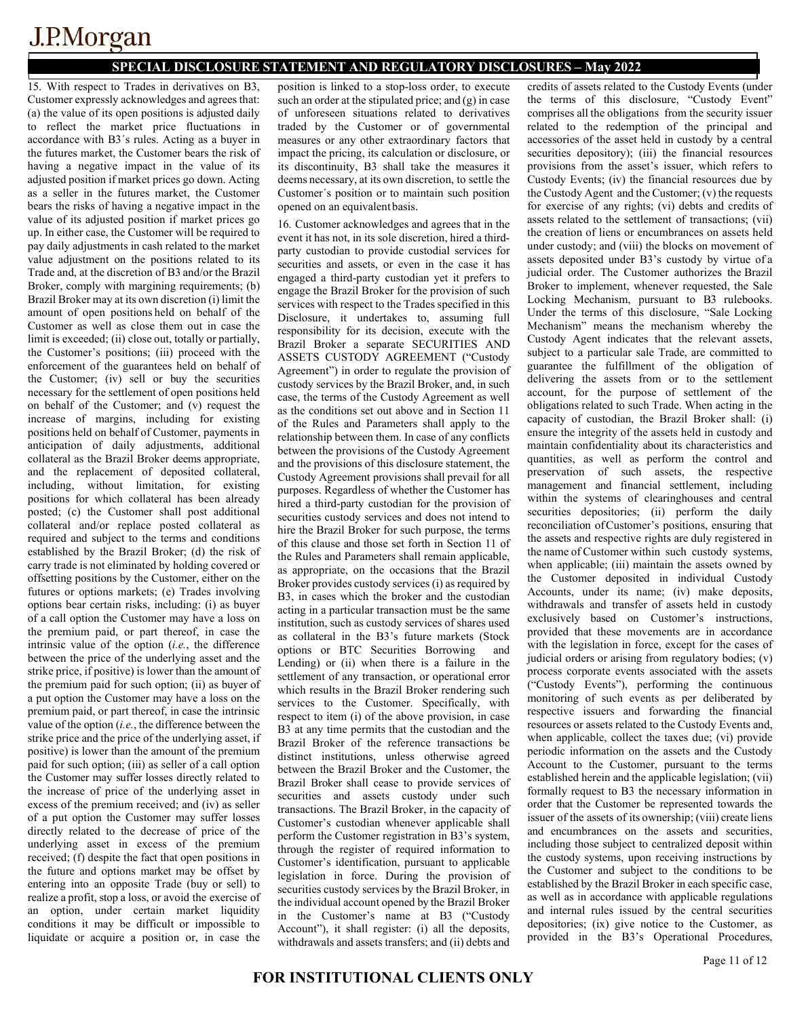### **SPECIAL DISCLOSURE STATEMENT AND REGULATORY DISCLOSURES – May 2022**

15. With respect to Trades in derivatives on B3, Customer expressly acknowledges and agrees that: (a) the value of its open positions is adjusted daily to reflect the market price fluctuations in accordance with B3´s rules. Acting as a buyer in the futures market, the Customer bears the risk of having a negative impact in the value of its adjusted position if market prices go down. Acting as a seller in the futures market, the Customer bears the risks of having a negative impact in the value of its adjusted position if market prices go up. In either case, the Customer will be required to pay daily adjustments in cash related to the market value adjustment on the positions related to its Trade and, at the discretion of B3 and/or the Brazil Broker, comply with margining requirements; (b) Brazil Broker may at its own discretion (i) limit the amount of open positions held on behalf of the Customer as well as close them out in case the limit is exceeded; (ii) close out, totally or partially, the Customer's positions; (iii) proceed with the enforcement of the guarantees held on behalf of the Customer; (iv) sell or buy the securities necessary for the settlement of open positions held on behalf of the Customer; and (v) request the increase of margins, including for existing positions held on behalf of Customer, payments in anticipation of daily adjustments, additional collateral as the Brazil Broker deems appropriate, and the replacement of deposited collateral, including, without limitation, for existing positions for which collateral has been already posted; (c) the Customer shall post additional collateral and/or replace posted collateral as required and subject to the terms and conditions established by the Brazil Broker; (d) the risk of carry trade is not eliminated by holding covered or offsetting positions by the Customer, either on the futures or options markets; (e) Trades involving options bear certain risks, including: (i) as buyer of a call option the Customer may have a loss on the premium paid, or part thereof, in case the intrinsic value of the option (*i.e.*, the difference between the price of the underlying asset and the strike price, if positive) is lower than the amount of the premium paid for such option; (ii) as buyer of a put option the Customer may have a loss on the premium paid, or part thereof, in case the intrinsic value of the option (*i.e.*, the difference between the strike price and the price of the underlying asset, if positive) is lower than the amount of the premium paid for such option; (iii) as seller of a call option the Customer may suffer losses directly related to the increase of price of the underlying asset in excess of the premium received; and (iv) as seller of a put option the Customer may suffer losses directly related to the decrease of price of the underlying asset in excess of the premium received; (f) despite the fact that open positions in the future and options market may be offset by entering into an opposite Trade (buy or sell) to realize a profit, stop a loss, or avoid the exercise of an option, under certain market liquidity conditions it may be difficult or impossible to liquidate or acquire a position or, in case the

position is linked to a stop-loss order, to execute such an order at the stipulated price; and (g) in case of unforeseen situations related to derivatives traded by the Customer or of governmental measures or any other extraordinary factors that impact the pricing, its calculation or disclosure, or its discontinuity, B3 shall take the measures it deems necessary, at its own discretion, to settle the Customer´s position or to maintain such position opened on an equivalentbasis.

16. Customer acknowledges and agrees that in the event it has not, in its sole discretion, hired a thirdparty custodian to provide custodial services for securities and assets, or even in the case it has engaged a third-party custodian yet it prefers to engage the Brazil Broker for the provision of such services with respect to the Trades specified in this Disclosure, it undertakes to, assuming full responsibility for its decision, execute with the Brazil Broker a separate SECURITIES AND ASSETS CUSTODY AGREEMENT ("Custody Agreement") in order to regulate the provision of custody services by the Brazil Broker, and, in such case, the terms of the Custody Agreement as well as the conditions set out above and in Section 11 of the Rules and Parameters shall apply to the relationship between them. In case of any conflicts between the provisions of the Custody Agreement and the provisions of this disclosure statement, the Custody Agreement provisions shall prevail for all purposes. Regardless of whether the Customer has hired a third-party custodian for the provision of securities custody services and does not intend to hire the Brazil Broker for such purpose, the terms of this clause and those set forth in Section 11 of the Rules and Parameters shall remain applicable, as appropriate, on the occasions that the Brazil Broker provides custody services (i) as required by B3, in cases which the broker and the custodian acting in a particular transaction must be the same institution, such as custody services of shares used as collateral in the B3's future markets (Stock options or BTC Securities Borrowing and Lending) or (ii) when there is a failure in the settlement of any transaction, or operational error which results in the Brazil Broker rendering such services to the Customer. Specifically, with respect to item (i) of the above provision, in case B3 at any time permits that the custodian and the Brazil Broker of the reference transactions be distinct institutions, unless otherwise agreed between the Brazil Broker and the Customer, the Brazil Broker shall cease to provide services of securities and assets custody under such transactions. The Brazil Broker, in the capacity of Customer's custodian whenever applicable shall perform the Customer registration in B3's system, through the register of required information to Customer's identification, pursuant to applicable legislation in force. During the provision of securities custody services by the Brazil Broker, in the individual account opened by the Brazil Broker in the Customer's name at B3 ("Custody Account"), it shall register: (i) all the deposits, withdrawals and assets transfers; and (ii) debts and

credits of assets related to the Custody Events (under the terms of this disclosure, "Custody Event" comprises all the obligations from the security issuer related to the redemption of the principal and accessories of the asset held in custody by a central securities depository); (iii) the financial resources provisions from the asset's issuer, which refers to Custody Events; (iv) the financial resources due by the Custody Agent and the Customer; (v) the requests for exercise of any rights; (vi) debts and credits of assets related to the settlement of transactions; (vii) the creation of liens or encumbrances on assets held under custody; and (viii) the blocks on movement of assets deposited under B3's custody by virtue of a judicial order. The Customer authorizes the Brazil Broker to implement, whenever requested, the Sale Locking Mechanism, pursuant to B3 rulebooks. Under the terms of this disclosure, "Sale Locking Mechanism" means the mechanism whereby the Custody Agent indicates that the relevant assets, subject to a particular sale Trade, are committed to guarantee the fulfillment of the obligation of delivering the assets from or to the settlement account, for the purpose of settlement of the obligations related to such Trade. When acting in the capacity of custodian, the Brazil Broker shall: (i) ensure the integrity of the assets held in custody and maintain confidentiality about its characteristics and quantities, as well as perform the control and preservation of such assets, the respective management and financial settlement, including within the systems of clearinghouses and central securities depositories; (ii) perform the daily reconciliation ofCustomer's positions, ensuring that the assets and respective rights are duly registered in the name of Customer within such custody systems, when applicable; (iii) maintain the assets owned by the Customer deposited in individual Custody Accounts, under its name; (iv) make deposits, withdrawals and transfer of assets held in custody exclusively based on Customer's instructions, provided that these movements are in accordance with the legislation in force, except for the cases of judicial orders or arising from regulatory bodies; (v) process corporate events associated with the assets ("Custody Events"), performing the continuous monitoring of such events as per deliberated by respective issuers and forwarding the financial resources or assets related to the Custody Events and, when applicable, collect the taxes due; (vi) provide periodic information on the assets and the Custody Account to the Customer, pursuant to the terms established herein and the applicable legislation; (vii) formally request to B3 the necessary information in order that the Customer be represented towards the issuer of the assets of its ownership; (viii) create liens and encumbrances on the assets and securities, including those subject to centralized deposit within the custody systems, upon receiving instructions by the Customer and subject to the conditions to be established by the Brazil Broker in each specific case, as well as in accordance with applicable regulations and internal rules issued by the central securities depositories; (ix) give notice to the Customer, as provided in the B3's Operational Procedures,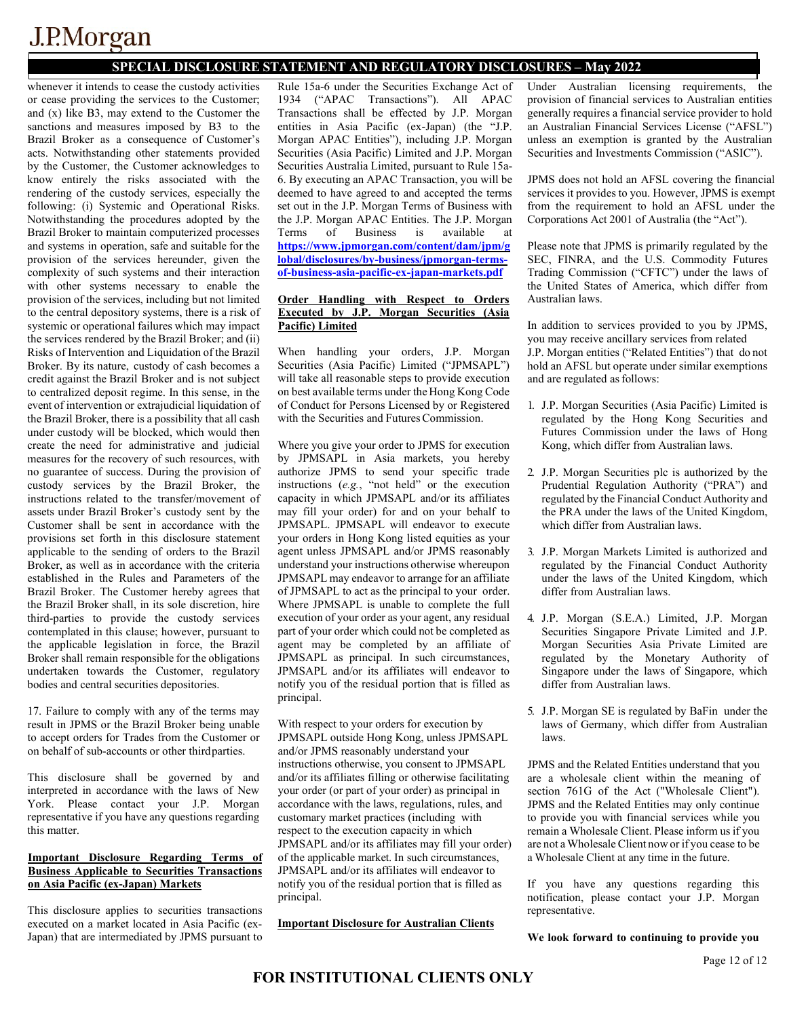## **SPECIAL DISCLOSURE STATEMENT AND REGULATORY DISCLOSURES – May 2022**

whenever it intends to cease the custody activities or cease providing the services to the Customer; and (x) like B3, may extend to the Customer the sanctions and measures imposed by B3 to the Brazil Broker as a consequence of Customer's acts. Notwithstanding other statements provided by the Customer, the Customer acknowledges to know entirely the risks associated with the rendering of the custody services, especially the following: (i) Systemic and Operational Risks. Notwithstanding the procedures adopted by the Brazil Broker to maintain computerized processes and systems in operation, safe and suitable for the provision of the services hereunder, given the complexity of such systems and their interaction with other systems necessary to enable the provision of the services, including but not limited to the central depository systems, there is a risk of systemic or operational failures which may impact the services rendered by the Brazil Broker; and (ii) Risks of Intervention and Liquidation of the Brazil Broker. By its nature, custody of cash becomes a credit against the Brazil Broker and is not subject to centralized deposit regime. In this sense, in the event of intervention or extrajudicial liquidation of the Brazil Broker, there is a possibility that all cash under custody will be blocked, which would then create the need for administrative and judicial measures for the recovery of such resources, with no guarantee of success. During the provision of custody services by the Brazil Broker, the instructions related to the transfer/movement of assets under Brazil Broker's custody sent by the Customer shall be sent in accordance with the provisions set forth in this disclosure statement applicable to the sending of orders to the Brazil Broker, as well as in accordance with the criteria established in the Rules and Parameters of the Brazil Broker. The Customer hereby agrees that the Brazil Broker shall, in its sole discretion, hire third-parties to provide the custody services contemplated in this clause; however, pursuant to the applicable legislation in force, the Brazil Broker shall remain responsible for the obligations undertaken towards the Customer, regulatory bodies and central securities depositories.

17. Failure to comply with any of the terms may result in JPMS or the Brazil Broker being unable to accept orders for Trades from the Customer or on behalf of sub-accounts or other thirdparties.

This disclosure shall be governed by and interpreted in accordance with the laws of New York. Please contact your J.P. Morgan representative if you have any questions regarding this matter.

#### **Important Disclosure Regarding Terms of Business Applicable to Securities Transactions on Asia Pacific (ex-Japan) Markets**

This disclosure applies to securities transactions executed on a market located in Asia Pacific (ex-Japan) that are intermediated by JPMS pursuant to

Rule 15a-6 under the Securities Exchange Act of 1934 ("APAC Transactions"). All APAC Transactions shall be effected by J.P. Morgan entities in Asia Pacific (ex-Japan) (the "J.P. Morgan APAC Entities"), including J.P. Morgan Securities (Asia Pacific) Limited and J.P. Morgan Securities Australia Limited, pursuant to Rule 15a-6. By executing an APAC Transaction, you will be deemed to have agreed to and accepted the terms set out in the J.P. Morgan Terms of Business with the J.P. Morgan APAC Entities. The J.P. Morgan<br>Terms of Business is available at Terms of Business is available at **[https://www.jpmorgan.com/content/dam/jpm/g](https://www.jpmorgan.com/content/dam/jpm/global/disclosures/by-business/jpmorgan-terms-of-business-asia-pacific-ex-japan-markets.pdf) [lobal/disclosures/by-business/jpmorgan-terms](https://www.jpmorgan.com/content/dam/jpm/global/disclosures/by-business/jpmorgan-terms-of-business-asia-pacific-ex-japan-markets.pdf)[of-business-asia-pacific-ex-japan-markets.pdf](https://www.jpmorgan.com/content/dam/jpm/global/disclosures/by-business/jpmorgan-terms-of-business-asia-pacific-ex-japan-markets.pdf)**

#### **Order Handling with Respect to Orders Executed by J.P. Morgan Securities (Asia Pacific) Limited**

When handling your orders, J.P. Morgan Securities (Asia Pacific) Limited ("JPMSAPL") will take all reasonable steps to provide execution on best available terms under the Hong Kong Code of Conduct for Persons Licensed by or Registered with the Securities and Futures Commission.

Where you give your order to JPMS for execution by JPMSAPL in Asia markets, you hereby authorize JPMS to send your specific trade instructions (*e.g.*, "not held" or the execution capacity in which JPMSAPL and/or its affiliates may fill your order) for and on your behalf to JPMSAPL. JPMSAPL will endeavor to execute your orders in Hong Kong listed equities as your agent unless JPMSAPL and/or JPMS reasonably understand your instructions otherwise whereupon JPMSAPL may endeavor to arrange for an affiliate of JPMSAPL to act as the principal to your order. Where JPMSAPL is unable to complete the full execution of your order as your agent, any residual part of your order which could not be completed as agent may be completed by an affiliate of JPMSAPL as principal. In such circumstances, JPMSAPL and/or its affiliates will endeavor to notify you of the residual portion that is filled as principal.

With respect to your orders for execution by JPMSAPL outside Hong Kong, unless JPMSAPL and/or JPMS reasonably understand your instructions otherwise, you consent to JPMSAPL and/or its affiliates filling or otherwise facilitating your order (or part of your order) as principal in accordance with the laws, regulations, rules, and customary market practices (including with respect to the execution capacity in which JPMSAPL and/or its affiliates may fill your order) of the applicable market. In such circumstances, JPMSAPL and/or its affiliates will endeavor to notify you of the residual portion that is filled as principal.

**Important Disclosure for Australian Clients**

Under Australian licensing requirements, the provision of financial services to Australian entities generally requires a financial service provider to hold an Australian Financial Services License ("AFSL") unless an exemption is granted by the Australian Securities and Investments Commission ("ASIC").

JPMS does not hold an AFSL covering the financial services it provides to you. However, JPMS is exempt from the requirement to hold an AFSL under the Corporations Act 2001 of Australia (the "Act").

Please note that JPMS is primarily regulated by the SEC, FINRA, and the U.S. Commodity Futures Trading Commission ("CFTC") under the laws of the United States of America, which differ from Australian laws.

In addition to services provided to you by JPMS, you may receive ancillary services from related J.P. Morgan entities ("Related Entities") that do not hold an AFSL but operate under similar exemptions and are regulated as follows:

- 1. J.P. Morgan Securities (Asia Pacific) Limited is regulated by the Hong Kong Securities and Futures Commission under the laws of Hong Kong, which differ from Australian laws.
- 2. J.P. Morgan Securities plc is authorized by the Prudential Regulation Authority ("PRA") and regulated by the Financial Conduct Authority and the PRA under the laws of the United Kingdom, which differ from Australian laws.
- 3. J.P. Morgan Markets Limited is authorized and regulated by the Financial Conduct Authority under the laws of the United Kingdom, which differ from Australian laws.
- 4. J.P. Morgan (S.E.A.) Limited, J.P. Morgan Securities Singapore Private Limited and J.P. Morgan Securities Asia Private Limited are regulated by the Monetary Authority of Singapore under the laws of Singapore, which differ from Australian laws.
- 5. J.P. Morgan SE is regulated by BaFin under the laws of Germany, which differ from Australian laws.

JPMS and the Related Entities understand that you are a wholesale client within the meaning of section 761G of the Act ("Wholesale Client"). JPMS and the Related Entities may only continue to provide you with financial services while you remain a Wholesale Client. Please inform us if you are not aWholesale Client nowor if you cease to be a Wholesale Client at any time in the future.

If you have any questions regarding this notification, please contact your J.P. Morgan representative.

**We look forward to continuing to provide you**